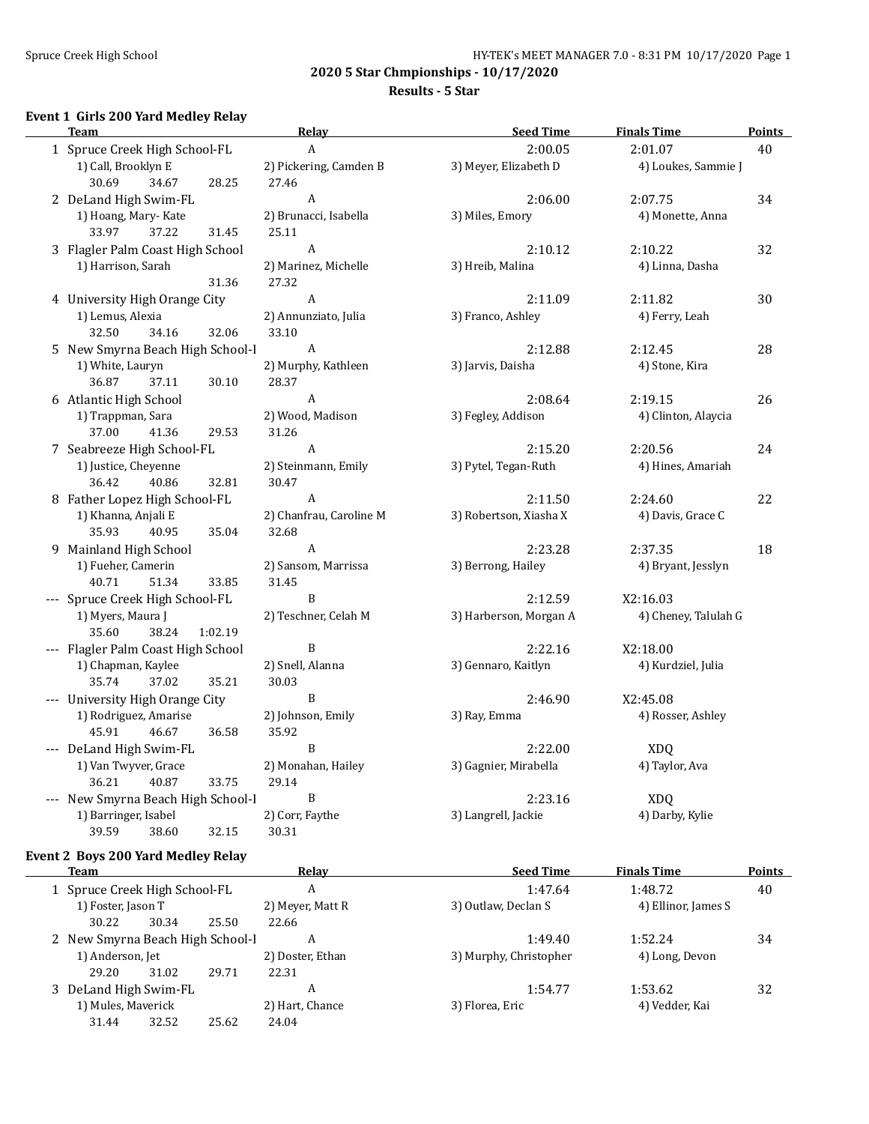#### Spruce Creek High School Spruce Creek High School Spruce Creek High School Spruce Creek High School Spruce Creek High School Spruce Creek High School Spruce Creek High School Spruce Creek High School Spruce Creek High Scho

**2020 5 Star Chmpionships - 10/17/2020**

#### **Results - 5 Star**

# **Event 1 Girls 200 Yard Medley Relay**

| <b>Team</b>                         |         | Relay                   | <b>Seed Time</b>       | <b>Finals Time</b>   | <b>Points</b> |
|-------------------------------------|---------|-------------------------|------------------------|----------------------|---------------|
| 1 Spruce Creek High School-FL       |         | A                       | 2:00.05                | 2:01.07              | 40            |
| 1) Call, Brooklyn E                 |         | 2) Pickering, Camden B  | 3) Meyer, Elizabeth D  | 4) Loukes, Sammie J  |               |
| 30.69<br>34.67                      | 28.25   | 27.46                   |                        |                      |               |
| 2 DeLand High Swim-FL               |         | $\mathbf{A}$            | 2:06.00                | 2:07.75              | 34            |
| 1) Hoang, Mary-Kate                 |         | 2) Brunacci, Isabella   | 3) Miles, Emory        | 4) Monette, Anna     |               |
| 37.22<br>33.97                      | 31.45   | 25.11                   |                        |                      |               |
| 3 Flagler Palm Coast High School    |         | $\boldsymbol{A}$        | 2:10.12                | 2:10.22              | 32            |
| 1) Harrison, Sarah                  |         | 2) Marinez, Michelle    | 3) Hreib, Malina       | 4) Linna, Dasha      |               |
|                                     | 31.36   | 27.32                   |                        |                      |               |
| 4 University High Orange City       |         | $\mathbf{A}$            | 2:11.09                | 2:11.82              | 30            |
| 1) Lemus, Alexia                    |         | 2) Annunziato, Julia    | 3) Franco, Ashley      | 4) Ferry, Leah       |               |
| 32.50<br>34.16                      | 32.06   | 33.10                   |                        |                      |               |
| 5 New Smyrna Beach High School-I    |         | A                       | 2:12.88                | 2:12.45              | 28            |
| 1) White, Lauryn                    |         | 2) Murphy, Kathleen     | 3) Jarvis, Daisha      | 4) Stone, Kira       |               |
| 36.87<br>37.11                      | 30.10   | 28.37                   |                        |                      |               |
| 6 Atlantic High School              |         | A                       | 2:08.64                | 2:19.15              | 26            |
| 1) Trappman, Sara                   |         | 2) Wood, Madison        | 3) Fegley, Addison     | 4) Clinton, Alaycia  |               |
| 37.00<br>41.36                      | 29.53   | 31.26                   |                        |                      |               |
| 7 Seabreeze High School-FL          |         | A                       | 2:15.20                | 2:20.56              | 24            |
| 1) Justice, Cheyenne                |         | 2) Steinmann, Emily     | 3) Pytel, Tegan-Ruth   | 4) Hines, Amariah    |               |
| 36.42<br>40.86                      | 32.81   | 30.47                   |                        |                      |               |
| 8 Father Lopez High School-FL       |         | A                       | 2:11.50                | 2:24.60              | 22            |
| 1) Khanna, Anjali E                 |         | 2) Chanfrau, Caroline M | 3) Robertson, Xiasha X | 4) Davis, Grace C    |               |
| 35.93<br>40.95                      | 35.04   | 32.68                   |                        |                      |               |
| 9 Mainland High School              |         | A                       | 2:23.28                | 2:37.35              | 18            |
| 1) Fueher, Camerin                  |         | 2) Sansom, Marrissa     | 3) Berrong, Hailey     | 4) Bryant, Jesslyn   |               |
| 40.71<br>51.34                      | 33.85   | 31.45                   |                        |                      |               |
| --- Spruce Creek High School-FL     |         | B                       | 2:12.59                | X2:16.03             |               |
| 1) Myers, Maura J<br>35.60<br>38.24 | 1:02.19 | 2) Teschner, Celah M    | 3) Harberson, Morgan A | 4) Cheney, Talulah G |               |
| --- Flagler Palm Coast High School  |         | B                       | 2:22.16                | X2:18.00             |               |
| 1) Chapman, Kaylee                  |         | 2) Snell, Alanna        | 3) Gennaro, Kaitlyn    | 4) Kurdziel, Julia   |               |
| 35.74<br>37.02                      | 35.21   | 30.03                   |                        |                      |               |
| --- University High Orange City     |         | B                       | 2:46.90                | X2:45.08             |               |
| 1) Rodriguez, Amarise               |         | 2) Johnson, Emily       | 3) Ray, Emma           | 4) Rosser, Ashley    |               |
| 45.91<br>46.67                      | 36.58   | 35.92                   |                        |                      |               |
| --- DeLand High Swim-FL             |         | B                       | 2:22.00                | <b>XDQ</b>           |               |
| 1) Van Twyver, Grace                |         | 2) Monahan, Hailey      | 3) Gagnier, Mirabella  | 4) Taylor, Ava       |               |
| 36.21<br>40.87                      | 33.75   | 29.14                   |                        |                      |               |
| --- New Smyrna Beach High School-I  |         | $\, {\bf B}$            | 2:23.16                | <b>XDQ</b>           |               |
| 1) Barringer, Isabel                |         | 2) Corr, Faythe         | 3) Langrell, Jackie    | 4) Darby, Kylie      |               |
| 39.59<br>38.60                      | 32.15   | 30.31                   |                        |                      |               |

## **Event 2 Boys 200 Yard Medley Relay**

 $\overline{\phantom{a}}$ 

| Team                             |       |       | Relav            | <b>Seed Time</b>       | <b>Finals Time</b>  | <b>Points</b> |
|----------------------------------|-------|-------|------------------|------------------------|---------------------|---------------|
| 1 Spruce Creek High School-FL    |       |       | A                | 1:47.64                | 1:48.72             | 40            |
| 1) Foster, Jason T               |       |       | 2) Meyer, Matt R | 3) Outlaw, Declan S    | 4) Ellinor, James S |               |
| 30.22                            | 30.34 | 25.50 | 22.66            |                        |                     |               |
| 2 New Smyrna Beach High School-1 |       |       | A                | 1:49.40                | 1:52.24             | 34            |
| 1) Anderson, Jet                 |       |       | 2) Doster, Ethan | 3) Murphy, Christopher | 4) Long, Devon      |               |
| 29.20                            | 31.02 | 29.71 | 22.31            |                        |                     |               |
| 3 DeLand High Swim-FL            |       |       | A                | 1:54.77                | 1:53.62             | 32            |
| 1) Mules, Maverick               |       |       | 2) Hart, Chance  | 3) Florea, Eric        | 4) Vedder, Kai      |               |
| 31.44                            | 32.52 | 25.62 | 24.04            |                        |                     |               |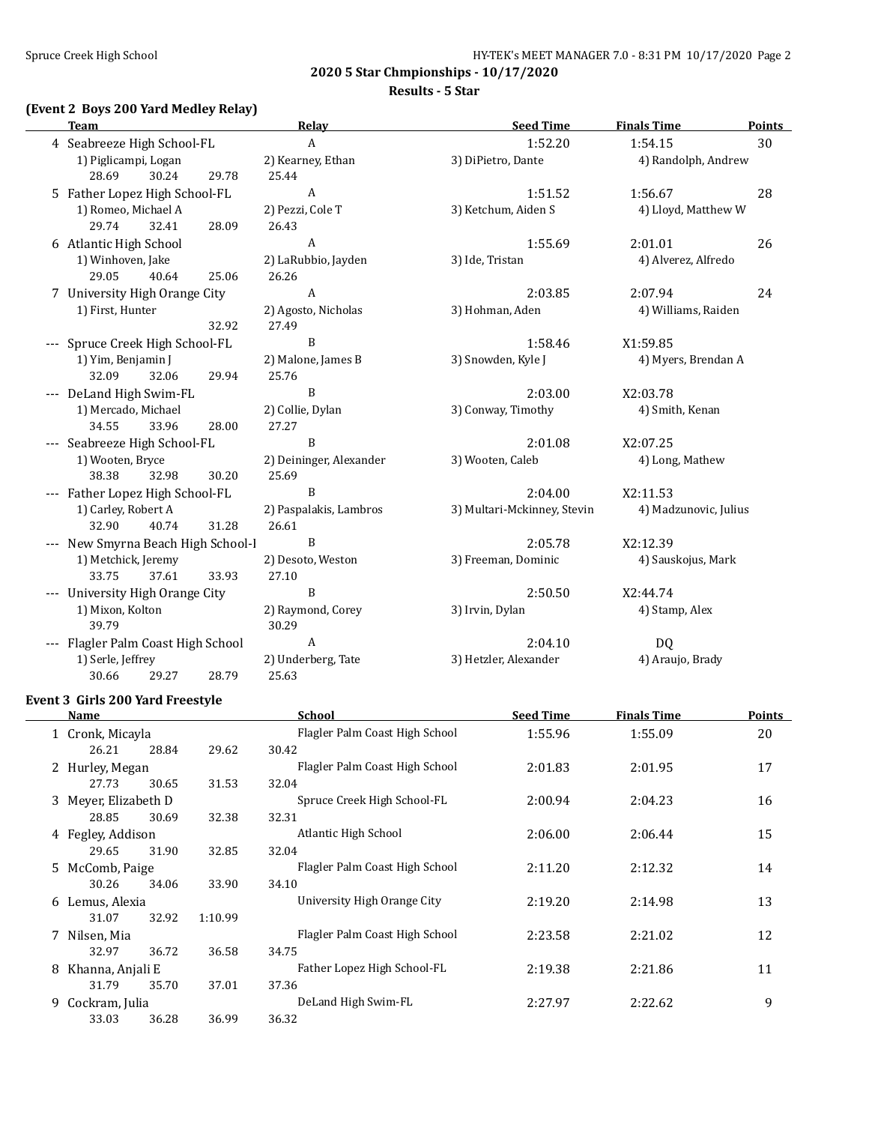**2020 5 Star Chmpionships - 10/17/2020 Results - 5 Star**

# **(Event 2 Boys 200 Yard Medley Relay)**

| <b>Team</b>                        |       | Relay                   | <b>Seed Time</b>            | <b>Finals Time</b>    | <b>Points</b> |
|------------------------------------|-------|-------------------------|-----------------------------|-----------------------|---------------|
| 4 Seabreeze High School-FL         |       | A                       | 1:52.20                     | 1:54.15               | 30            |
| 1) Piglicampi, Logan               |       | 2) Kearney, Ethan       | 3) DiPietro, Dante          | 4) Randolph, Andrew   |               |
| 28.69<br>30.24                     | 29.78 | 25.44                   |                             |                       |               |
| 5 Father Lopez High School-FL      |       | $\boldsymbol{A}$        | 1:51.52                     | 1:56.67               | 28            |
| 1) Romeo, Michael A                |       | 2) Pezzi, Cole T        | 3) Ketchum, Aiden S         | 4) Lloyd, Matthew W   |               |
| 29.74<br>32.41                     | 28.09 | 26.43                   |                             |                       |               |
| 6 Atlantic High School             |       | A                       | 1:55.69                     | 2:01.01               | 26            |
| 1) Winhoven, Jake                  |       | 2) LaRubbio, Jayden     | 3) Ide, Tristan             | 4) Alverez, Alfredo   |               |
| 29.05<br>40.64                     | 25.06 | 26.26                   |                             |                       |               |
| 7 University High Orange City      |       | $\boldsymbol{A}$        | 2:03.85                     | 2:07.94               | 24            |
| 1) First, Hunter                   |       | 2) Agosto, Nicholas     | 3) Hohman, Aden             | 4) Williams, Raiden   |               |
|                                    | 32.92 | 27.49                   |                             |                       |               |
| --- Spruce Creek High School-FL    |       | B                       | 1:58.46                     | X1:59.85              |               |
| 1) Yim, Benjamin J                 |       | 2) Malone, James B      | 3) Snowden, Kyle J          | 4) Myers, Brendan A   |               |
| 32.09<br>32.06                     | 29.94 | 25.76                   |                             |                       |               |
| --- DeLand High Swim-FL            |       | B                       | 2:03.00                     | X2:03.78              |               |
| 1) Mercado, Michael                |       | 2) Collie, Dylan        | 3) Conway, Timothy          | 4) Smith, Kenan       |               |
| 34.55<br>33.96                     | 28.00 | 27.27                   |                             |                       |               |
| --- Seabreeze High School-FL       |       | B                       | 2:01.08                     | X2:07.25              |               |
| 1) Wooten, Bryce                   |       | 2) Deininger, Alexander | 3) Wooten, Caleb            | 4) Long, Mathew       |               |
| 38.38<br>32.98                     | 30.20 | 25.69                   |                             |                       |               |
| --- Father Lopez High School-FL    |       | B                       | 2:04.00                     | X2:11.53              |               |
| 1) Carley, Robert A                |       | 2) Paspalakis, Lambros  | 3) Multari-Mckinney, Stevin | 4) Madzunovic, Julius |               |
| 32.90<br>40.74                     | 31.28 | 26.61                   |                             |                       |               |
| --- New Smyrna Beach High School-I |       | B                       | 2:05.78                     | X2:12.39              |               |
| 1) Metchick, Jeremy                |       | 2) Desoto, Weston       | 3) Freeman, Dominic         | 4) Sauskojus, Mark    |               |
| 33.75<br>37.61                     | 33.93 | 27.10                   |                             |                       |               |
| --- University High Orange City    |       | $\mathbf B$             | 2:50.50                     | X2:44.74              |               |
| 1) Mixon, Kolton                   |       | 2) Raymond, Corey       | 3) Irvin, Dylan             | 4) Stamp, Alex        |               |
| 39.79                              |       | 30.29                   |                             |                       |               |
| --- Flagler Palm Coast High School |       | $\boldsymbol{A}$        | 2:04.10                     | DQ                    |               |
| 1) Serle, Jeffrey                  |       | 2) Underberg, Tate      | 3) Hetzler, Alexander       | 4) Araujo, Brady      |               |
| 30.66<br>29.27                     | 28.79 | 25.63                   |                             |                       |               |

#### **Event 3 Girls 200 Yard Freestyle**

|    | Name                 |       |         | School                         | <b>Seed Time</b> | <b>Finals Time</b> | <b>Points</b> |
|----|----------------------|-------|---------|--------------------------------|------------------|--------------------|---------------|
|    | 1 Cronk, Micayla     |       |         | Flagler Palm Coast High School | 1:55.96          | 1:55.09            | 20            |
|    | 26.21                | 28.84 | 29.62   | 30.42                          |                  |                    |               |
|    | 2 Hurley, Megan      |       |         | Flagler Palm Coast High School | 2:01.83          | 2:01.95            | 17            |
|    | 27.73                | 30.65 | 31.53   | 32.04                          |                  |                    |               |
|    | 3 Meyer, Elizabeth D |       |         | Spruce Creek High School-FL    | 2:00.94          | 2:04.23            | 16            |
|    | 28.85                | 30.69 | 32.38   | 32.31                          |                  |                    |               |
|    | 4 Fegley, Addison    |       |         | Atlantic High School           | 2:06.00          | 2:06.44            | 15            |
|    | 29.65                | 31.90 | 32.85   | 32.04                          |                  |                    |               |
|    | 5 McComb, Paige      |       |         | Flagler Palm Coast High School | 2:11.20          | 2:12.32            | 14            |
|    | 30.26                | 34.06 | 33.90   | 34.10                          |                  |                    |               |
|    | 6 Lemus, Alexia      |       |         | University High Orange City    | 2:19.20          | 2:14.98            | 13            |
|    | 31.07                | 32.92 | 1:10.99 |                                |                  |                    |               |
|    | 7 Nilsen, Mia        |       |         | Flagler Palm Coast High School | 2:23.58          | 2:21.02            | 12            |
|    | 32.97                | 36.72 | 36.58   | 34.75                          |                  |                    |               |
|    | 8 Khanna, Anjali E   |       |         | Father Lopez High School-FL    | 2:19.38          | 2:21.86            | 11            |
|    | 31.79                | 35.70 | 37.01   | 37.36                          |                  |                    |               |
| 9. | Cockram, Julia       |       |         | DeLand High Swim-FL            | 2:27.97          | 2:22.62            | 9             |
|    | 33.03                | 36.28 | 36.99   | 36.32                          |                  |                    |               |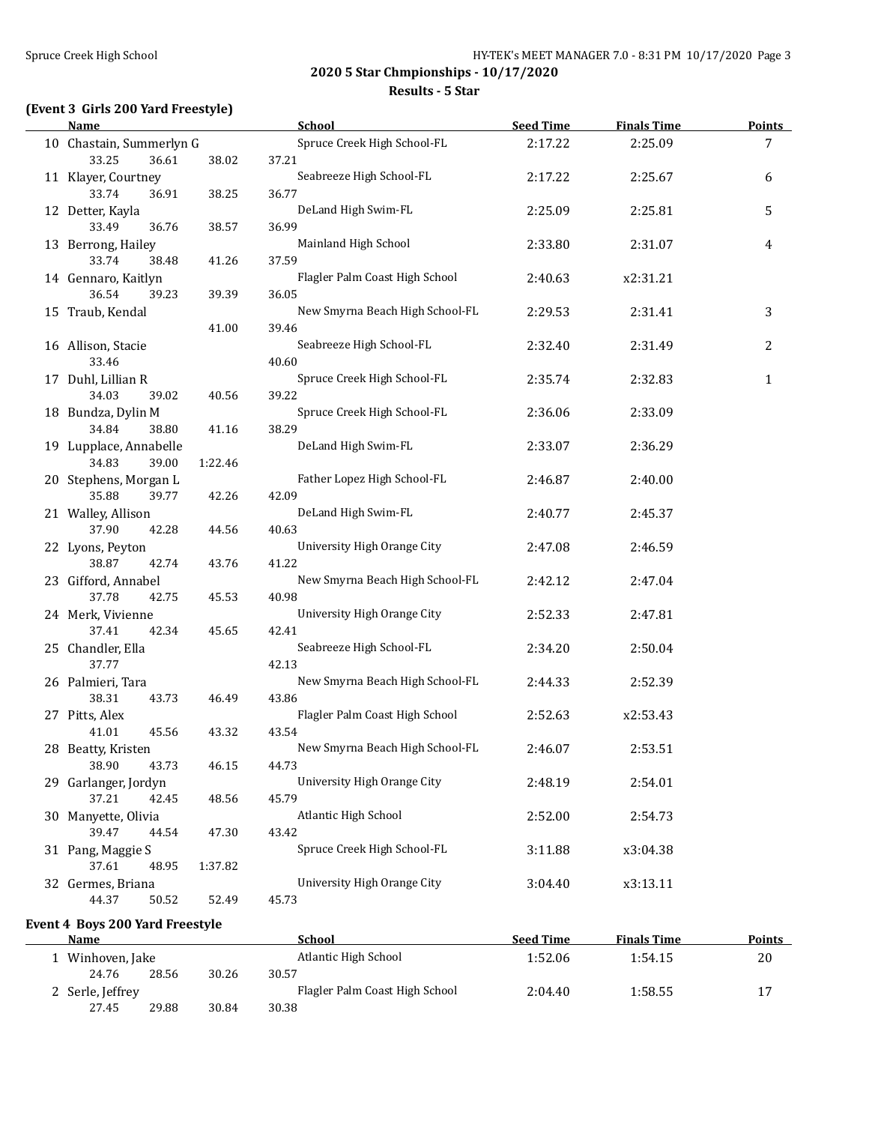#### **Results - 5 Star**

# **(Event 3 Girls 200 Yard Freestyle)**

| <b>Name</b>                         |         | <b>School</b>                        | <b>Seed Time</b> | <b>Finals Time</b> | <b>Points</b>  |
|-------------------------------------|---------|--------------------------------------|------------------|--------------------|----------------|
| 10 Chastain, Summerlyn G            |         | Spruce Creek High School-FL          | 2:17.22          | 2:25.09            | $\overline{7}$ |
| 33.25<br>36.61                      | 38.02   | 37.21                                |                  |                    |                |
| 11 Klayer, Courtney                 |         | Seabreeze High School-FL             | 2:17.22          | 2:25.67            | 6              |
| 33.74<br>36.91                      | 38.25   | 36.77                                |                  |                    |                |
| 12 Detter, Kayla                    |         | DeLand High Swim-FL                  | 2:25.09          | 2:25.81            | 5              |
| 33.49<br>36.76                      | 38.57   | 36.99                                |                  |                    |                |
| 13 Berrong, Hailey                  |         | Mainland High School                 | 2:33.80          | 2:31.07            | 4              |
| 33.74<br>38.48                      | 41.26   | 37.59                                |                  |                    |                |
| 14 Gennaro, Kaitlyn                 |         | Flagler Palm Coast High School       | 2:40.63          | x2:31.21           |                |
| 36.54<br>39.23                      | 39.39   | 36.05                                |                  |                    |                |
| 15 Traub, Kendal                    |         | New Smyrna Beach High School-FL      | 2:29.53          | 2:31.41            | 3              |
|                                     | 41.00   | 39.46                                |                  |                    |                |
| 16 Allison, Stacie                  |         | Seabreeze High School-FL             | 2:32.40          | 2:31.49            | $\overline{c}$ |
| 33.46                               |         | 40.60                                |                  |                    |                |
| 17 Duhl, Lillian R                  |         | Spruce Creek High School-FL          | 2:35.74          | 2:32.83            | $\mathbf{1}$   |
| 34.03<br>39.02                      | 40.56   | 39.22                                |                  |                    |                |
| 18 Bundza, Dylin M                  |         | Spruce Creek High School-FL          | 2:36.06          | 2:33.09            |                |
| 34.84<br>38.80                      | 41.16   | 38.29                                |                  |                    |                |
| 19 Lupplace, Annabelle              |         | DeLand High Swim-FL                  | 2:33.07          | 2:36.29            |                |
| 34.83<br>39.00                      | 1:22.46 |                                      |                  |                    |                |
| 20 Stephens, Morgan L               |         | Father Lopez High School-FL          | 2:46.87          | 2:40.00            |                |
| 35.88<br>39.77                      | 42.26   | 42.09                                |                  |                    |                |
| 21 Walley, Allison                  |         | DeLand High Swim-FL                  | 2:40.77          | 2:45.37            |                |
| 37.90<br>42.28                      | 44.56   | 40.63                                |                  |                    |                |
| 22 Lyons, Peyton                    |         | University High Orange City          | 2:47.08          | 2:46.59            |                |
| 38.87<br>42.74                      | 43.76   | 41.22                                |                  |                    |                |
| 23 Gifford, Annabel                 |         | New Smyrna Beach High School-FL      | 2:42.12          | 2:47.04            |                |
| 37.78<br>42.75                      | 45.53   | 40.98                                |                  |                    |                |
| 24 Merk, Vivienne                   |         | University High Orange City          | 2:52.33          | 2:47.81            |                |
| 37.41<br>42.34                      | 45.65   | 42.41                                |                  |                    |                |
| 25 Chandler, Ella                   |         | Seabreeze High School-FL             | 2:34.20          |                    |                |
| 37.77                               |         | 42.13                                |                  | 2:50.04            |                |
|                                     |         | New Smyrna Beach High School-FL      |                  |                    |                |
| 26 Palmieri, Tara<br>38.31<br>43.73 | 46.49   | 43.86                                | 2:44.33          | 2:52.39            |                |
|                                     |         | Flagler Palm Coast High School       |                  |                    |                |
| 27 Pitts, Alex<br>41.01<br>45.56    | 43.32   | 43.54                                | 2:52.63          | x2:53.43           |                |
|                                     |         |                                      |                  | 2:53.51            |                |
| 28 Beatty, Kristen<br>38.90         |         | New Smyrna Beach High School-FL      | 2:46.07          |                    |                |
| 43.73                               | 46.15   | 44.73<br>University High Orange City |                  |                    |                |
| 29 Garlanger, Jordyn                |         |                                      | 2:48.19          | 2:54.01            |                |
| 37.21<br>42.45                      | 48.56   | 45.79                                |                  |                    |                |
| 30 Manyette, Olivia                 |         | <b>Atlantic High School</b>          | 2:52.00          | 2:54.73            |                |
| 39.47<br>44.54                      | 47.30   | 43.42                                |                  |                    |                |
| 31 Pang, Maggie S                   |         | Spruce Creek High School-FL          | 3:11.88          | x3:04.38           |                |
| 37.61<br>48.95                      | 1:37.82 |                                      |                  |                    |                |
| 32 Germes, Briana                   |         | University High Orange City          | 3:04.40          | x3:13.11           |                |
| 44.37<br>50.52                      | 52.49   | 45.73                                |                  |                    |                |

**Event 4 Boys 200 Yard Freestyle**

| <b>Name</b>      |       |       | School                         | <b>Seed Time</b> | <b>Finals Time</b> | <b>Points</b> |
|------------------|-------|-------|--------------------------------|------------------|--------------------|---------------|
| 1 Winhoven, Jake |       |       | Atlantic High School           | 1:52.06          | 1:54.15            | 20            |
| 24.76            | 28.56 | 30.26 | 30.57                          |                  |                    |               |
| 2 Serle, Jeffrey |       |       | Flagler Palm Coast High School | 2:04.40          | 1:58.55            |               |
| 27.45            | 29.88 | 30.84 | 30.38                          |                  |                    |               |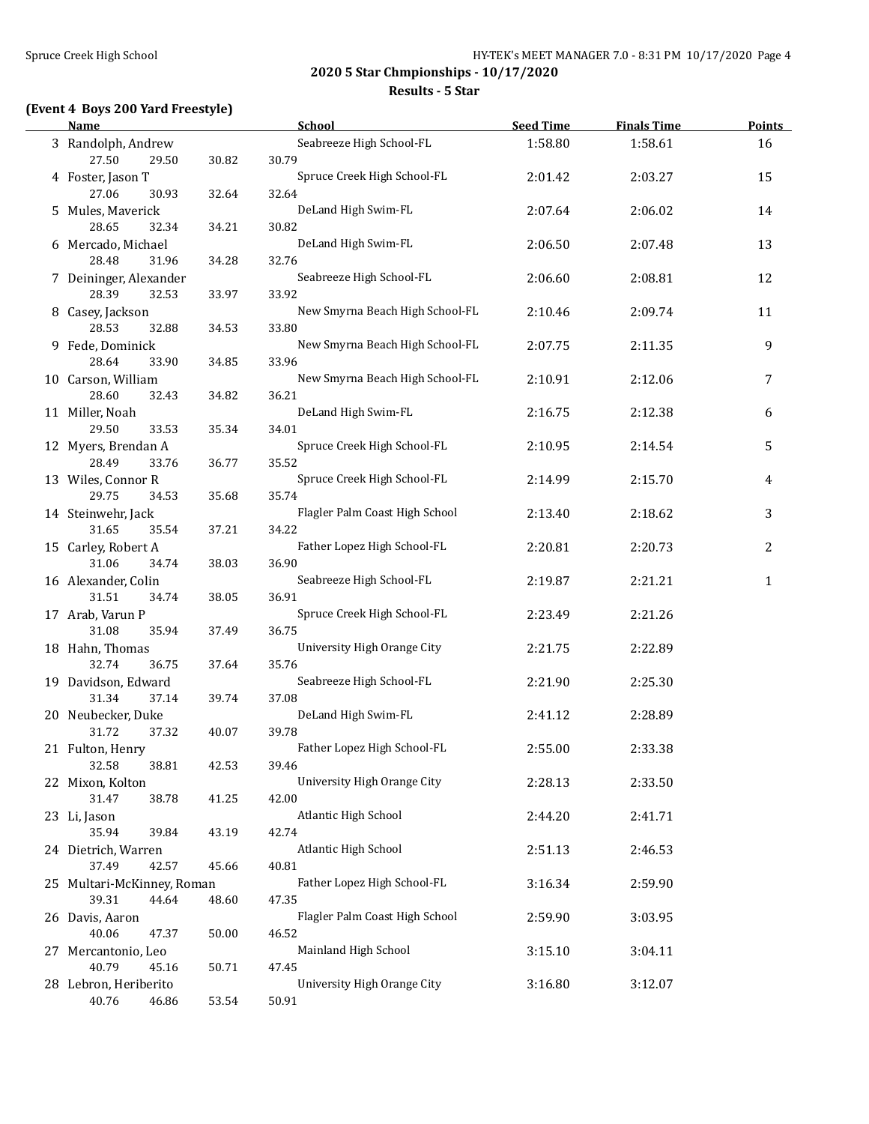#### **Results - 5 Star**

# **(Event 4 Boys 200 Yard Freestyle)**

| <b>Name</b>                                  |       | <b>School</b>                            | <b>Seed Time</b> | <b>Finals Time</b> | <b>Points</b> |
|----------------------------------------------|-------|------------------------------------------|------------------|--------------------|---------------|
| 3 Randolph, Andrew<br>27.50<br>29.50         | 30.82 | Seabreeze High School-FL<br>30.79        | 1:58.80          | 1:58.61            | 16            |
| 4 Foster, Jason T<br>27.06<br>30.93          | 32.64 | Spruce Creek High School-FL<br>32.64     | 2:01.42          | 2:03.27            | 15            |
| 5 Mules, Maverick<br>28.65<br>32.34          | 34.21 | DeLand High Swim-FL<br>30.82             | 2:07.64          | 2:06.02            | 14            |
| 6 Mercado, Michael                           |       | DeLand High Swim-FL                      | 2:06.50          | 2:07.48            | 13            |
| 28.48<br>31.96<br>7 Deininger, Alexander     | 34.28 | 32.76<br>Seabreeze High School-FL        | 2:06.60          | 2:08.81            | 12            |
| 28.39<br>32.53<br>8 Casey, Jackson           | 33.97 | 33.92<br>New Smyrna Beach High School-FL | 2:10.46          | 2:09.74            | 11            |
| 28.53<br>32.88<br>9 Fede, Dominick           | 34.53 | 33.80<br>New Smyrna Beach High School-FL | 2:07.75          | 2:11.35            | 9             |
| 28.64<br>33.90<br>10 Carson, William         | 34.85 | 33.96<br>New Smyrna Beach High School-FL | 2:10.91          | 2:12.06            | 7             |
| 28.60<br>32.43<br>11 Miller, Noah            | 34.82 | 36.21<br>DeLand High Swim-FL             | 2:16.75          | 2:12.38            | 6             |
| 29.50<br>33.53<br>12 Myers, Brendan A        | 35.34 | 34.01<br>Spruce Creek High School-FL     | 2:10.95          | 2:14.54            | 5             |
| 28.49<br>33.76<br>13 Wiles, Connor R         | 36.77 | 35.52<br>Spruce Creek High School-FL     | 2:14.99          | 2:15.70            | 4             |
| 29.75<br>34.53<br>14 Steinwehr, Jack         | 35.68 | 35.74<br>Flagler Palm Coast High School  | 2:13.40          | 2:18.62            | 3             |
| 31.65<br>35.54<br>15 Carley, Robert A        | 37.21 | 34.22<br>Father Lopez High School-FL     | 2:20.81          | 2:20.73            | 2             |
| 31.06<br>34.74<br>16 Alexander, Colin        | 38.03 | 36.90<br>Seabreeze High School-FL        | 2:19.87          | 2:21.21            | $\mathbf{1}$  |
| 31.51<br>34.74<br>17 Arab, Varun P           | 38.05 | 36.91<br>Spruce Creek High School-FL     | 2:23.49          | 2:21.26            |               |
| 31.08<br>35.94<br>18 Hahn, Thomas            | 37.49 | 36.75<br>University High Orange City     | 2:21.75          | 2:22.89            |               |
| 32.74<br>36.75<br>19 Davidson, Edward        | 37.64 | 35.76<br>Seabreeze High School-FL        | 2:21.90          | 2:25.30            |               |
| 31.34<br>37.14<br>20 Neubecker, Duke         | 39.74 | 37.08<br>DeLand High Swim-FL             | 2:41.12          | 2:28.89            |               |
| 31.72<br>37.32<br>21 Fulton, Henry           | 40.07 | 39.78<br>Father Lopez High School-FL     | 2:55.00          | 2:33.38            |               |
| 32.58<br>38.81<br>22 Mixon, Kolton           | 42.53 | 39.46<br>University High Orange City     | 2:28.13          | 2:33.50            |               |
| 31.47<br>38.78<br>23 Li, Jason               | 41.25 | 42.00<br>Atlantic High School            | 2:44.20          | 2:41.71            |               |
| 35.94<br>39.84<br>24 Dietrich, Warren        | 43.19 | 42.74<br><b>Atlantic High School</b>     | 2:51.13          | 2:46.53            |               |
| 37.49<br>42.57<br>25 Multari-McKinney, Roman | 45.66 | 40.81<br>Father Lopez High School-FL     | 3:16.34          | 2:59.90            |               |
| 39.31<br>44.64<br>26 Davis, Aaron            | 48.60 | 47.35<br>Flagler Palm Coast High School  | 2:59.90          | 3:03.95            |               |
| 40.06<br>47.37<br>27 Mercantonio, Leo        | 50.00 | 46.52<br>Mainland High School            | 3:15.10          | 3:04.11            |               |
| 40.79<br>45.16<br>28 Lebron, Heriberito      | 50.71 | 47.45<br>University High Orange City     | 3:16.80          | 3:12.07            |               |
| 40.76<br>46.86                               | 53.54 | 50.91                                    |                  |                    |               |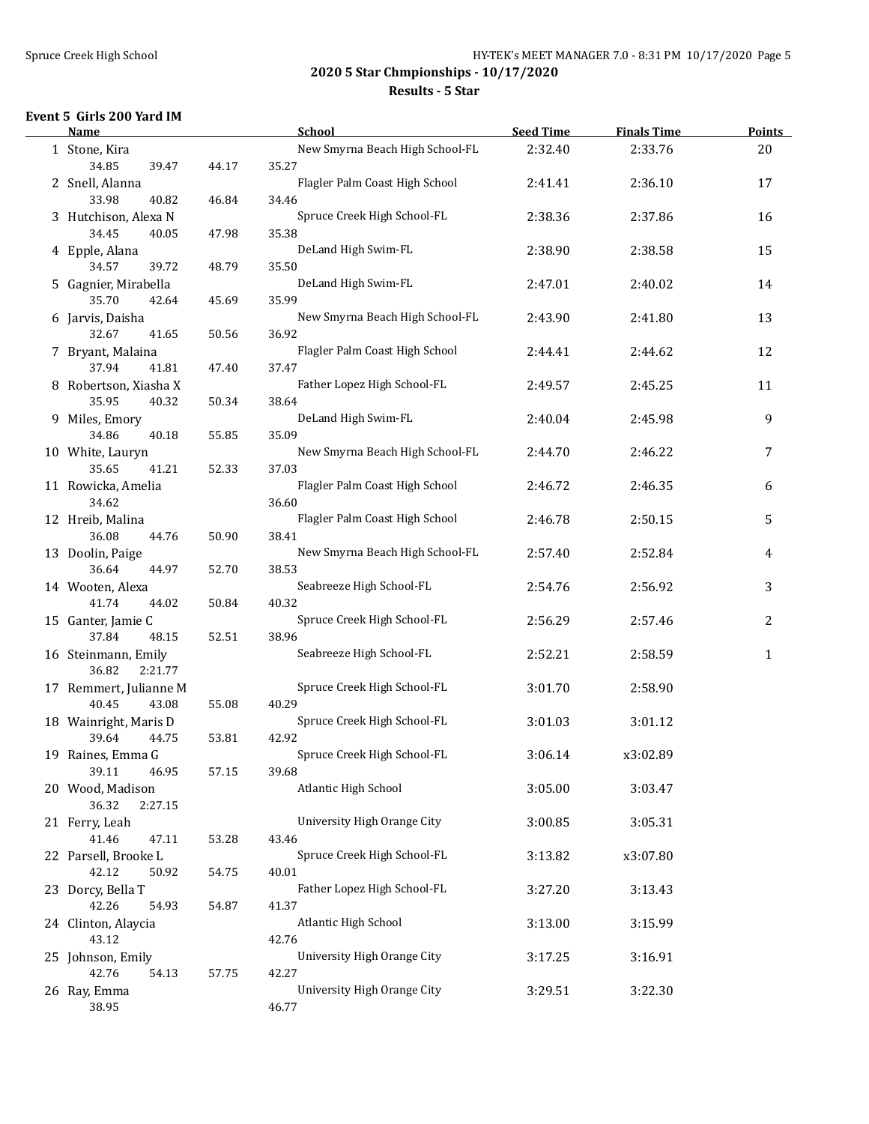#### **Results - 5 Star**

#### **Event 5 Girls 200 Yard IM**

| Name                                |       | School                               | <b>Seed Time</b> | <b>Finals Time</b> | Points       |
|-------------------------------------|-------|--------------------------------------|------------------|--------------------|--------------|
| 1 Stone, Kira                       |       | New Smyrna Beach High School-FL      | 2:32.40          | 2:33.76            | 20           |
| 34.85<br>39.47                      | 44.17 | 35.27                                |                  |                    |              |
| 2 Snell, Alanna                     |       | Flagler Palm Coast High School       | 2:41.41          | 2:36.10            | 17           |
| 33.98<br>40.82                      | 46.84 | 34.46                                |                  |                    |              |
| 3 Hutchison, Alexa N                |       | Spruce Creek High School-FL          | 2:38.36          | 2:37.86            | 16           |
| 34.45<br>40.05                      | 47.98 | 35.38                                |                  |                    |              |
| 4 Epple, Alana                      |       | DeLand High Swim-FL                  | 2:38.90          | 2:38.58            | 15           |
| 34.57<br>39.72                      | 48.79 | 35.50                                |                  |                    |              |
| 5 Gagnier, Mirabella                |       | DeLand High Swim-FL                  | 2:47.01          | 2:40.02            | 14           |
| 35.70<br>42.64                      | 45.69 | 35.99                                |                  |                    |              |
| 6 Jarvis, Daisha                    |       | New Smyrna Beach High School-FL      | 2:43.90          | 2:41.80            | 13           |
| 32.67<br>41.65                      | 50.56 | 36.92                                |                  |                    |              |
| 7 Bryant, Malaina                   |       | Flagler Palm Coast High School       | 2:44.41          | 2:44.62            | 12           |
| 37.94<br>41.81                      | 47.40 | 37.47                                |                  |                    |              |
| 8 Robertson, Xiasha X               |       | Father Lopez High School-FL          | 2:49.57          | 2:45.25            | 11           |
| 35.95<br>40.32                      | 50.34 | 38.64                                |                  |                    |              |
| 9 Miles, Emory                      |       | DeLand High Swim-FL                  | 2:40.04          | 2:45.98            | 9            |
| 34.86<br>40.18                      | 55.85 | 35.09                                |                  |                    |              |
| 10 White, Lauryn                    |       | New Smyrna Beach High School-FL      | 2:44.70          | 2:46.22            | 7            |
| 35.65<br>41.21                      | 52.33 | 37.03                                |                  |                    |              |
| 11 Rowicka, Amelia                  |       | Flagler Palm Coast High School       | 2:46.72          | 2:46.35            | 6            |
| 34.62                               |       | 36.60                                |                  |                    |              |
| 12 Hreib, Malina                    |       | Flagler Palm Coast High School       | 2:46.78          | 2:50.15            | 5            |
| 36.08<br>44.76                      | 50.90 | 38.41                                |                  |                    |              |
| 13 Doolin, Paige                    |       | New Smyrna Beach High School-FL      | 2:57.40          | 2:52.84            | 4            |
| 36.64<br>44.97                      | 52.70 | 38.53                                |                  |                    |              |
| 14 Wooten, Alexa                    |       | Seabreeze High School-FL             | 2:54.76          | 2:56.92            | 3            |
| 41.74<br>44.02                      | 50.84 | 40.32                                |                  |                    |              |
| 15 Ganter, Jamie C                  |       | Spruce Creek High School-FL          | 2:56.29          | 2:57.46            | 2            |
| 37.84<br>48.15                      | 52.51 | 38.96                                |                  |                    |              |
| 16 Steinmann, Emily                 |       | Seabreeze High School-FL             | 2:52.21          | 2:58.59            | $\mathbf{1}$ |
| 36.82<br>2:21.77                    |       |                                      |                  |                    |              |
| 17 Remmert, Julianne M              |       | Spruce Creek High School-FL          | 3:01.70          | 2:58.90            |              |
| 40.45<br>43.08                      | 55.08 | 40.29                                |                  |                    |              |
| 18 Wainright, Maris D<br>39.64      |       | Spruce Creek High School-FL          | 3:01.03          | 3:01.12            |              |
| 44.75                               | 53.81 | 42.92<br>Spruce Creek High School-FL |                  |                    |              |
| 19 Raines, Emma G<br>46.95<br>39.11 | 57.15 | 39.68                                | 3:06.14          | x3:02.89           |              |
| 20 Wood, Madison                    |       | Atlantic High School                 | 3:05.00          | 3:03.47            |              |
| 36.32<br>2:27.15                    |       |                                      |                  |                    |              |
| 21 Ferry, Leah                      |       | University High Orange City          | 3:00.85          | 3:05.31            |              |
| 41.46<br>47.11                      | 53.28 | 43.46                                |                  |                    |              |
| 22 Parsell, Brooke L                |       | Spruce Creek High School-FL          | 3:13.82          | x3:07.80           |              |
| 42.12<br>50.92                      | 54.75 | 40.01                                |                  |                    |              |
| 23 Dorcy, Bella T                   |       | Father Lopez High School-FL          | 3:27.20          | 3:13.43            |              |
| 42.26<br>54.93                      | 54.87 | 41.37                                |                  |                    |              |
| 24 Clinton, Alaycia                 |       | Atlantic High School                 | 3:13.00          | 3:15.99            |              |
| 43.12                               |       | 42.76                                |                  |                    |              |
| 25 Johnson, Emily                   |       | University High Orange City          | 3:17.25          | 3:16.91            |              |
| 42.76<br>54.13                      | 57.75 | 42.27                                |                  |                    |              |
| 26 Ray, Emma                        |       | University High Orange City          | 3:29.51          | 3:22.30            |              |
| 38.95                               |       | 46.77                                |                  |                    |              |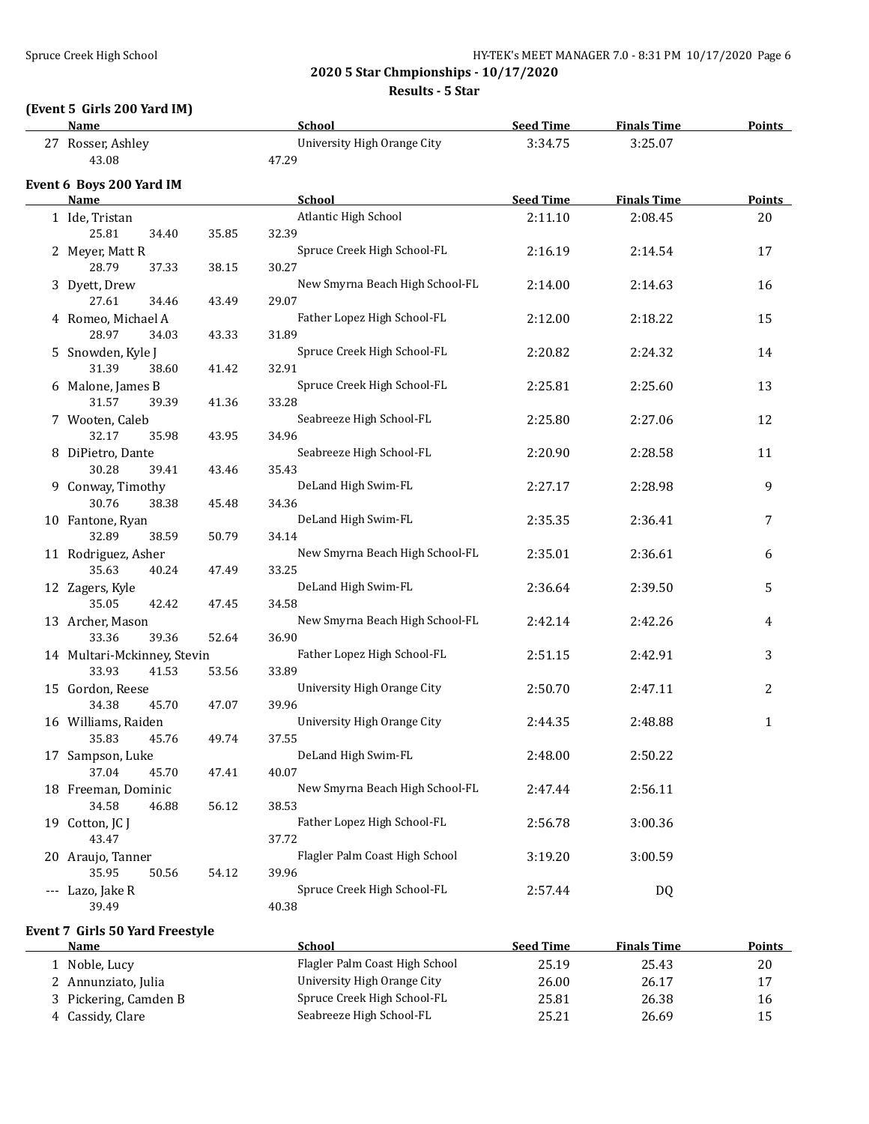**Results - 5 Star**

### **(Event 5 Girls 200 Yard IM)**

| <b>Name</b>                      |       | School                               | <b>Seed Time</b> | <b>Finals Time</b> | <b>Points</b> |
|----------------------------------|-------|--------------------------------------|------------------|--------------------|---------------|
| 27 Rosser, Ashley<br>43.08       |       | University High Orange City<br>47.29 | 3:34.75          | 3:25.07            |               |
|                                  |       |                                      |                  |                    |               |
| Event 6 Boys 200 Yard IM<br>Name |       | <b>School</b>                        | <b>Seed Time</b> | <b>Finals Time</b> | <b>Points</b> |
| 1 Ide, Tristan                   |       | Atlantic High School                 | 2:11.10          | 2:08.45            | 20            |
| 25.81<br>34.40                   | 35.85 | 32.39                                |                  |                    |               |
| 2 Meyer, Matt R                  |       | Spruce Creek High School-FL          | 2:16.19          | 2:14.54            | 17            |
| 28.79<br>37.33                   | 38.15 | 30.27                                |                  |                    |               |
| 3 Dyett, Drew                    |       | New Smyrna Beach High School-FL      | 2:14.00          | 2:14.63            | 16            |
| 27.61<br>34.46                   | 43.49 | 29.07                                |                  |                    |               |
| 4 Romeo, Michael A               |       | Father Lopez High School-FL          | 2:12.00          | 2:18.22            | 15            |
| 28.97<br>34.03                   | 43.33 | 31.89                                |                  |                    |               |
| 5 Snowden, Kyle J                |       | Spruce Creek High School-FL          | 2:20.82          | 2:24.32            | 14            |
| 31.39<br>38.60                   | 41.42 | 32.91                                |                  |                    |               |
| 6 Malone, James B                |       | Spruce Creek High School-FL          | 2:25.81          | 2:25.60            | 13            |
| 31.57<br>39.39                   | 41.36 | 33.28                                |                  |                    |               |
| 7 Wooten, Caleb                  |       | Seabreeze High School-FL             | 2:25.80          | 2:27.06            | 12            |
| 32.17<br>35.98                   | 43.95 | 34.96                                |                  |                    |               |
| 8 DiPietro, Dante                |       | Seabreeze High School-FL             | 2:20.90          | 2:28.58            | 11            |
| 30.28<br>39.41                   | 43.46 | 35.43                                |                  |                    |               |
| 9 Conway, Timothy                |       | DeLand High Swim-FL                  | 2:27.17          | 2:28.98            | 9             |
| 30.76<br>38.38                   | 45.48 | 34.36                                |                  |                    |               |
| 10 Fantone, Ryan                 |       | DeLand High Swim-FL                  | 2:35.35          | 2:36.41            | 7             |
| 32.89<br>38.59                   | 50.79 | 34.14                                |                  |                    |               |
| 11 Rodriguez, Asher              |       | New Smyrna Beach High School-FL      | 2:35.01          | 2:36.61            | 6             |
| 35.63<br>40.24                   | 47.49 | 33.25                                |                  |                    |               |
| 12 Zagers, Kyle                  |       | DeLand High Swim-FL                  | 2:36.64          | 2:39.50            | 5             |
| 35.05<br>42.42                   | 47.45 | 34.58                                |                  |                    |               |
| 13 Archer, Mason                 |       | New Smyrna Beach High School-FL      | 2:42.14          | 2:42.26            | 4             |
| 33.36<br>39.36                   | 52.64 | 36.90                                |                  |                    |               |
| 14 Multari-Mckinney, Stevin      |       | Father Lopez High School-FL          | 2:51.15          | 2:42.91            | 3             |
| 33.93<br>41.53                   | 53.56 | 33.89                                |                  |                    |               |
| 15 Gordon, Reese                 |       | University High Orange City          | 2:50.70          | 2:47.11            | 2             |
| 34.38<br>45.70                   | 47.07 | 39.96                                |                  |                    |               |
| 16 Williams, Raiden              |       | University High Orange City          | 2:44.35          | 2:48.88            | $\mathbf{1}$  |
| 35.83<br>45.76                   | 49.74 | 37.55                                |                  |                    |               |
| 17 Sampson, Luke                 |       | DeLand High Swim-FL                  | 2:48.00          | 2:50.22            |               |
| 37.04<br>45.70                   | 47.41 | 40.07                                |                  |                    |               |
| 18 Freeman, Dominic              |       | New Smyrna Beach High School-FL      | 2:47.44          | 2:56.11            |               |
| 34.58<br>46.88                   | 56.12 | 38.53                                |                  |                    |               |
| 19 Cotton, JC J                  |       | Father Lopez High School-FL          | 2:56.78          | 3:00.36            |               |
| 43.47                            |       | 37.72                                |                  |                    |               |
| 20 Araujo, Tanner                |       | Flagler Palm Coast High School       | 3:19.20          | 3:00.59            |               |
| 35.95<br>50.56                   | 54.12 | 39.96                                |                  |                    |               |
| --- Lazo, Jake R                 |       | Spruce Creek High School-FL          | 2:57.44          | <b>DQ</b>          |               |
| 39.49                            |       | 40.38                                |                  |                    |               |
|                                  |       |                                      |                  |                    |               |
| Event 7 Girls 50 Yard Freestyle  |       |                                      |                  |                    |               |
| <b>Name</b>                      |       | School                               | <b>Seed Time</b> | <b>Finals Time</b> | <b>Points</b> |
| 1 Noble, Lucy                    |       | Flagler Palm Coast High School       | 25.19            | 25.43              | $20\,$        |
| 2 Annunziato, Julia              |       | University High Orange City          | 26.00            | 26.17              | 17            |
| 3 Pickering, Camden B            |       | Spruce Creek High School-FL          | 25.81            | 26.38              | 16            |

4 Cassidy, Clare Seabreeze High School-FL 25.21 26.69 15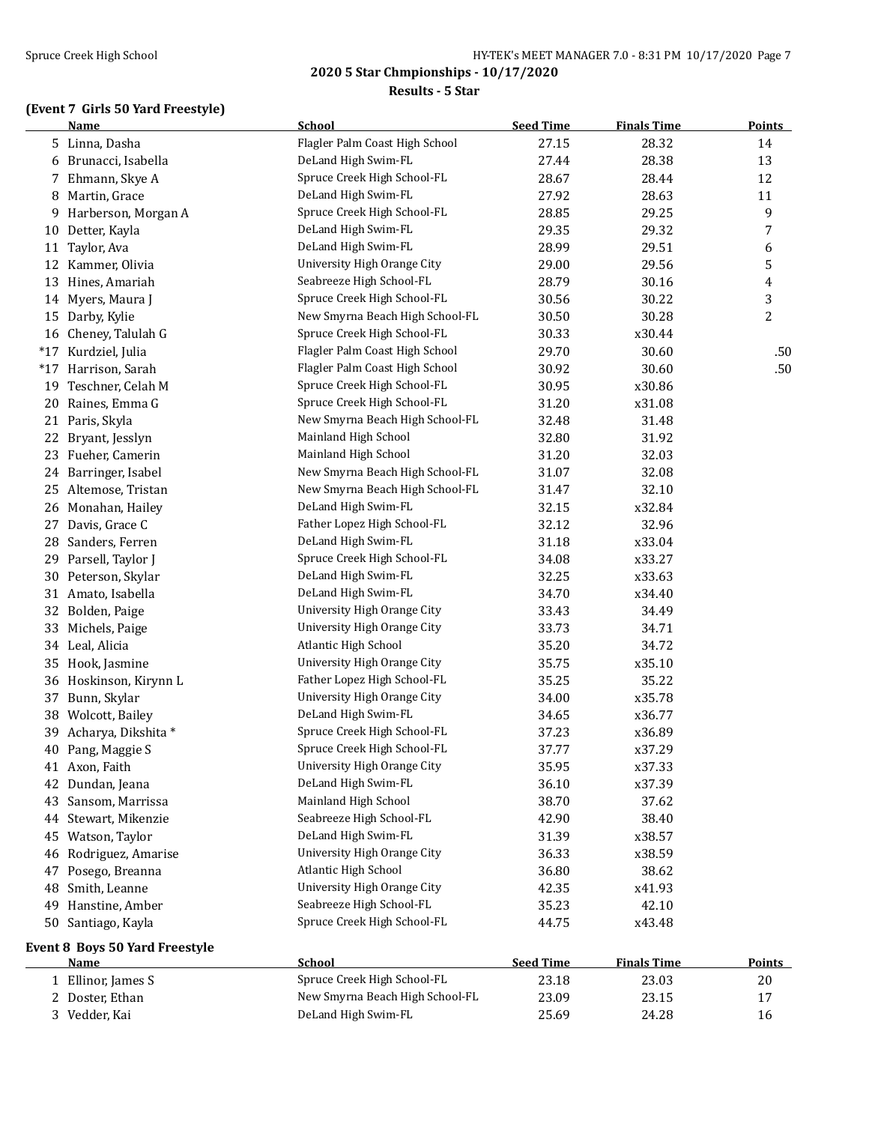#### **Results - 5 Star**

## **(Event 7 Girls 50 Yard Freestyle)**

|       | <b>Name</b>                           | <b>School</b>                                              | <b>Seed Time</b> | <b>Finals Time</b> | <b>Points</b> |
|-------|---------------------------------------|------------------------------------------------------------|------------------|--------------------|---------------|
|       | 5 Linna, Dasha                        | Flagler Palm Coast High School                             | 27.15            | 28.32              | 14            |
| 6     | Brunacci, Isabella                    | DeLand High Swim-FL                                        | 27.44            | 28.38              | 13            |
| 7     | Ehmann, Skye A                        | Spruce Creek High School-FL                                | 28.67            | 28.44              | 12            |
| 8     | Martin, Grace                         | DeLand High Swim-FL                                        | 27.92            | 28.63              | 11            |
| 9     | Harberson, Morgan A                   | Spruce Creek High School-FL                                | 28.85            | 29.25              | 9             |
| 10    | Detter, Kayla                         | DeLand High Swim-FL                                        | 29.35            | 29.32              | 7             |
| 11    | Taylor, Ava                           | DeLand High Swim-FL                                        | 28.99            | 29.51              | 6             |
|       | 12 Kammer, Olivia                     | University High Orange City                                | 29.00            | 29.56              | 5             |
| 13    | Hines, Amariah                        | Seabreeze High School-FL                                   | 28.79            | 30.16              | 4             |
|       | 14 Myers, Maura J                     | Spruce Creek High School-FL                                | 30.56            | 30.22              | 3             |
|       | 15 Darby, Kylie                       | New Smyrna Beach High School-FL                            | 30.50            | 30.28              | 2             |
|       | 16 Cheney, Talulah G                  | Spruce Creek High School-FL                                | 30.33            | x30.44             |               |
| $*17$ | Kurdziel, Julia                       | Flagler Palm Coast High School                             | 29.70            | 30.60              | .50           |
| $*17$ | Harrison, Sarah                       | Flagler Palm Coast High School                             | 30.92            | 30.60              | .50           |
| 19    | Teschner, Celah M                     | Spruce Creek High School-FL                                | 30.95            | x30.86             |               |
| 20    | Raines, Emma G                        | Spruce Creek High School-FL                                | 31.20            | x31.08             |               |
|       | 21 Paris, Skyla                       | New Smyrna Beach High School-FL                            | 32.48            | 31.48              |               |
| 22    | Bryant, Jesslyn                       | Mainland High School                                       | 32.80            | 31.92              |               |
|       | 23 Fueher, Camerin                    | Mainland High School                                       | 31.20            | 32.03              |               |
| 24    | Barringer, Isabel                     | New Smyrna Beach High School-FL                            | 31.07            | 32.08              |               |
| 25    | Altemose, Tristan                     | New Smyrna Beach High School-FL                            | 31.47            | 32.10              |               |
| 26    | Monahan, Hailey                       | DeLand High Swim-FL                                        | 32.15            | x32.84             |               |
| 27    | Davis, Grace C                        | Father Lopez High School-FL                                | 32.12            | 32.96              |               |
| 28    | Sanders, Ferren                       | DeLand High Swim-FL                                        | 31.18            | x33.04             |               |
|       | 29 Parsell, Taylor J                  | Spruce Creek High School-FL                                | 34.08            | x33.27             |               |
|       | 30 Peterson, Skylar                   | DeLand High Swim-FL                                        | 32.25            | x33.63             |               |
|       | 31 Amato, Isabella                    | DeLand High Swim-FL                                        | 34.70            | x34.40             |               |
|       |                                       | University High Orange City                                | 33.43            | 34.49              |               |
| 32    | Bolden, Paige                         | University High Orange City                                | 33.73            | 34.71              |               |
| 33    | Michels, Paige                        | Atlantic High School                                       | 35.20            | 34.72              |               |
|       | 34 Leal, Alicia                       | University High Orange City                                |                  |                    |               |
| 35    | Hook, Jasmine                         |                                                            | 35.75            | x35.10             |               |
| 36    | Hoskinson, Kirynn L                   | Father Lopez High School-FL<br>University High Orange City | 35.25            | 35.22              |               |
| 37    | Bunn, Skylar                          |                                                            | 34.00            | x35.78             |               |
|       | 38 Wolcott, Bailey                    | DeLand High Swim-FL                                        | 34.65            | x36.77             |               |
| 39    | Acharya, Dikshita *                   | Spruce Creek High School-FL                                | 37.23            | x36.89             |               |
|       | 40 Pang, Maggie S                     | Spruce Creek High School-FL                                | 37.77            | x37.29             |               |
|       | 41 Axon, Faith                        | University High Orange City                                | 35.95            | x37.33             |               |
|       | 42 Dundan, Jeana                      | DeLand High Swim-FL                                        | 36.10            | x37.39             |               |
| 43    | Sansom, Marrissa                      | Mainland High School                                       | 38.70            | 37.62              |               |
|       | 44 Stewart, Mikenzie                  | Seabreeze High School-FL                                   | 42.90            | 38.40              |               |
| 45    | Watson, Taylor                        | DeLand High Swim-FL                                        | 31.39            | x38.57             |               |
| 46    | Rodriguez, Amarise                    | University High Orange City                                | 36.33            | x38.59             |               |
| 47    | Posego, Breanna                       | Atlantic High School                                       | 36.80            | 38.62              |               |
| 48    | Smith, Leanne                         | University High Orange City                                | 42.35            | x41.93             |               |
| 49    | Hanstine, Amber                       | Seabreeze High School-FL                                   | 35.23            | 42.10              |               |
| 50    | Santiago, Kayla                       | Spruce Creek High School-FL                                | 44.75            | x43.48             |               |
|       | <b>Event 8 Boys 50 Yard Freestyle</b> |                                                            |                  |                    |               |
|       | <u>Name</u>                           | School                                                     | <b>Seed Time</b> | <b>Finals Time</b> | <b>Points</b> |
|       | 1 Ellinor, James S                    | Spruce Creek High School-FL                                | 23.18            | 23.03              | $20\,$        |
|       | 2 Doster, Ethan                       | New Smyrna Beach High School-FL                            | 23.09            | 23.15              | 17            |
|       | 3 Vedder, Kai                         | DeLand High Swim-FL                                        | 25.69            | 24.28              | 16            |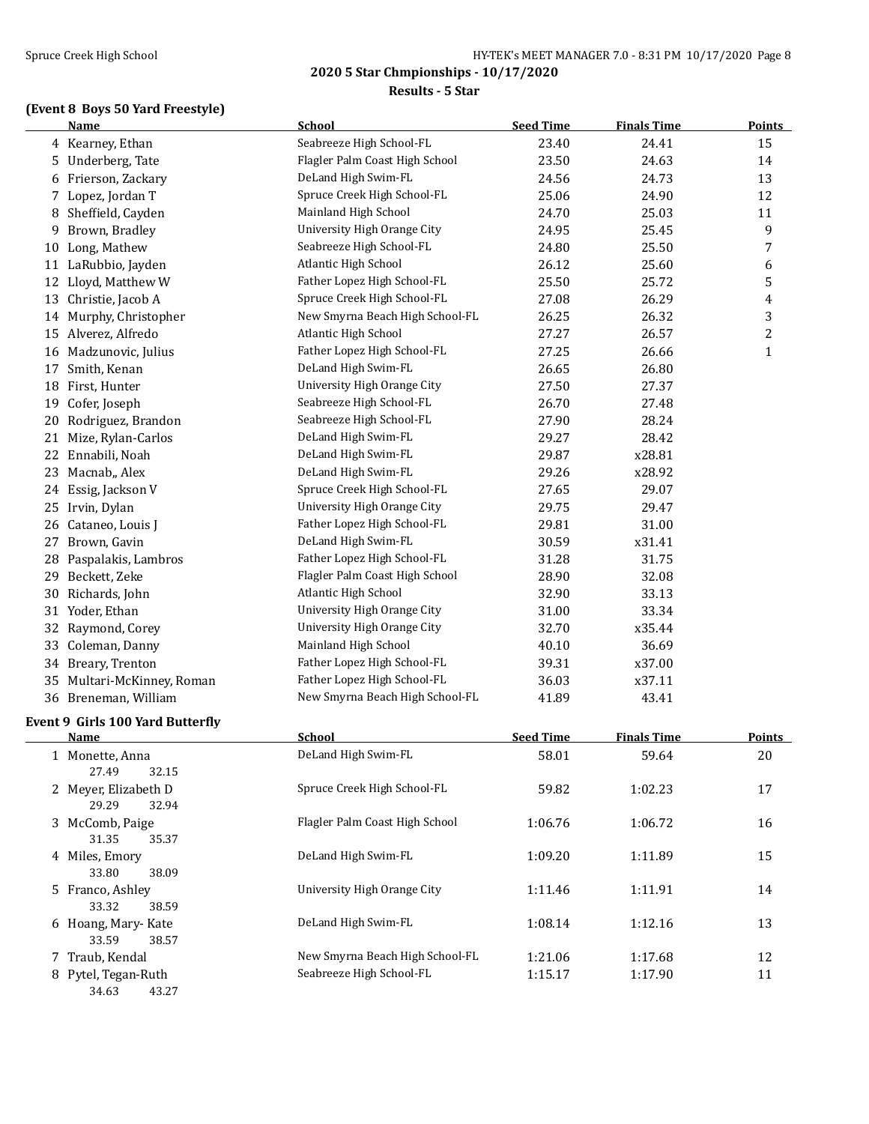#### **Results - 5 Star**

# **(Event 8 Boys 50 Yard Freestyle)**

|    | <b>Name</b>                                     | <b>School</b>                   | <b>Seed Time</b> | <b>Finals Time</b> | <b>Points</b> |
|----|-------------------------------------------------|---------------------------------|------------------|--------------------|---------------|
|    | 4 Kearney, Ethan                                | Seabreeze High School-FL        | 23.40            | 24.41              | 15            |
| 5  | Underberg, Tate                                 | Flagler Palm Coast High School  | 23.50            | 24.63              | 14            |
| 6  | Frierson, Zackary                               | DeLand High Swim-FL             | 24.56            | 24.73              | 13            |
|    | 7 Lopez, Jordan T                               | Spruce Creek High School-FL     | 25.06            | 24.90              | 12            |
| 8  | Sheffield, Cayden                               | Mainland High School            | 24.70            | 25.03              | 11            |
| 9  | Brown, Bradley                                  | University High Orange City     | 24.95            | 25.45              | 9             |
| 10 | Long, Mathew                                    | Seabreeze High School-FL        | 24.80            | 25.50              | 7             |
|    | 11 LaRubbio, Jayden                             | Atlantic High School            | 26.12            | 25.60              | 6             |
| 12 | Lloyd, Matthew W                                | Father Lopez High School-FL     | 25.50            | 25.72              | 5             |
| 13 | Christie, Jacob A                               | Spruce Creek High School-FL     | 27.08            | 26.29              | 4             |
| 14 | Murphy, Christopher                             | New Smyrna Beach High School-FL | 26.25            | 26.32              | 3             |
| 15 | Alverez, Alfredo                                | Atlantic High School            | 27.27            | 26.57              | 2             |
|    | 16 Madzunovic, Julius                           | Father Lopez High School-FL     | 27.25            | 26.66              | $\mathbf{1}$  |
| 17 | Smith, Kenan                                    | DeLand High Swim-FL             | 26.65            | 26.80              |               |
| 18 | First, Hunter                                   | University High Orange City     | 27.50            | 27.37              |               |
| 19 | Cofer, Joseph                                   | Seabreeze High School-FL        | 26.70            | 27.48              |               |
| 20 | Rodriguez, Brandon                              | Seabreeze High School-FL        | 27.90            | 28.24              |               |
|    | 21 Mize, Rylan-Carlos                           | DeLand High Swim-FL             | 29.27            | 28.42              |               |
|    | 22 Ennabili, Noah                               | DeLand High Swim-FL             | 29.87            | x28.81             |               |
| 23 | Macnab,, Alex                                   | DeLand High Swim-FL             | 29.26            | x28.92             |               |
|    | 24 Essig, Jackson V                             | Spruce Creek High School-FL     | 27.65            | 29.07              |               |
|    | 25 Irvin, Dylan                                 | University High Orange City     | 29.75            | 29.47              |               |
| 26 | Cataneo, Louis J                                | Father Lopez High School-FL     | 29.81            | 31.00              |               |
|    | 27 Brown, Gavin                                 | DeLand High Swim-FL             | 30.59            | x31.41             |               |
| 28 | Paspalakis, Lambros                             | Father Lopez High School-FL     | 31.28            | 31.75              |               |
|    | 29 Beckett, Zeke                                | Flagler Palm Coast High School  | 28.90            | 32.08              |               |
| 30 | Richards, John                                  | Atlantic High School            | 32.90            | 33.13              |               |
|    | 31 Yoder, Ethan                                 | University High Orange City     | 31.00            | 33.34              |               |
| 32 | Raymond, Corey                                  | University High Orange City     | 32.70            | x35.44             |               |
| 33 | Coleman, Danny                                  | Mainland High School            | 40.10            | 36.69              |               |
|    | 34 Breary, Trenton                              | Father Lopez High School-FL     | 39.31            | x37.00             |               |
| 35 | Multari-McKinney, Roman                         | Father Lopez High School-FL     | 36.03            | x37.11             |               |
| 36 | Breneman, William                               | New Smyrna Beach High School-FL | 41.89            | 43.41              |               |
|    |                                                 |                                 |                  |                    |               |
|    | Event 9 Girls 100 Yard Butterfly<br><b>Name</b> | <b>School</b>                   | <b>Seed Time</b> | <b>Finals Time</b> | <b>Points</b> |
|    |                                                 | DeLand High Swim-FL             | 58.01            | 59.64              | 20            |
|    | 1 Monette, Anna<br>27.49<br>32.15               |                                 |                  |                    |               |
|    | 2 Meyer, Elizabeth D                            | Spruce Creek High School-FL     | 59.82            | 1:02.23            | 17            |
|    | 29.29<br>32.94                                  |                                 |                  |                    |               |
|    | 3 McComb, Paige                                 | Flagler Palm Coast High School  | 1:06.76          | 1:06.72            | 16            |
|    | 31.35<br>35.37                                  |                                 |                  |                    |               |
|    | 4 Miles, Emory                                  | DeLand High Swim-FL             | 1:09.20          | 1:11.89            | 15            |
|    | 33.80<br>38.09                                  |                                 |                  |                    |               |
|    | 5 Franco, Ashley                                | University High Orange City     | 1:11.46          | 1:11.91            | 14            |
|    | 33.32<br>38.59                                  |                                 |                  |                    |               |
|    | 6 Hoang, Mary-Kate                              | DeLand High Swim-FL             | 1:08.14          | 1:12.16            | 13            |
|    | 33.59<br>38.57                                  |                                 |                  |                    |               |
|    | 7 Traub, Kendal                                 | New Smyrna Beach High School-FL | 1:21.06          | 1:17.68            | 12            |
|    | 8 Pytel, Tegan-Ruth                             | Seabreeze High School-FL        | 1:15.17          | 1:17.90            | 11            |
|    |                                                 |                                 |                  |                    |               |

34.63 43.27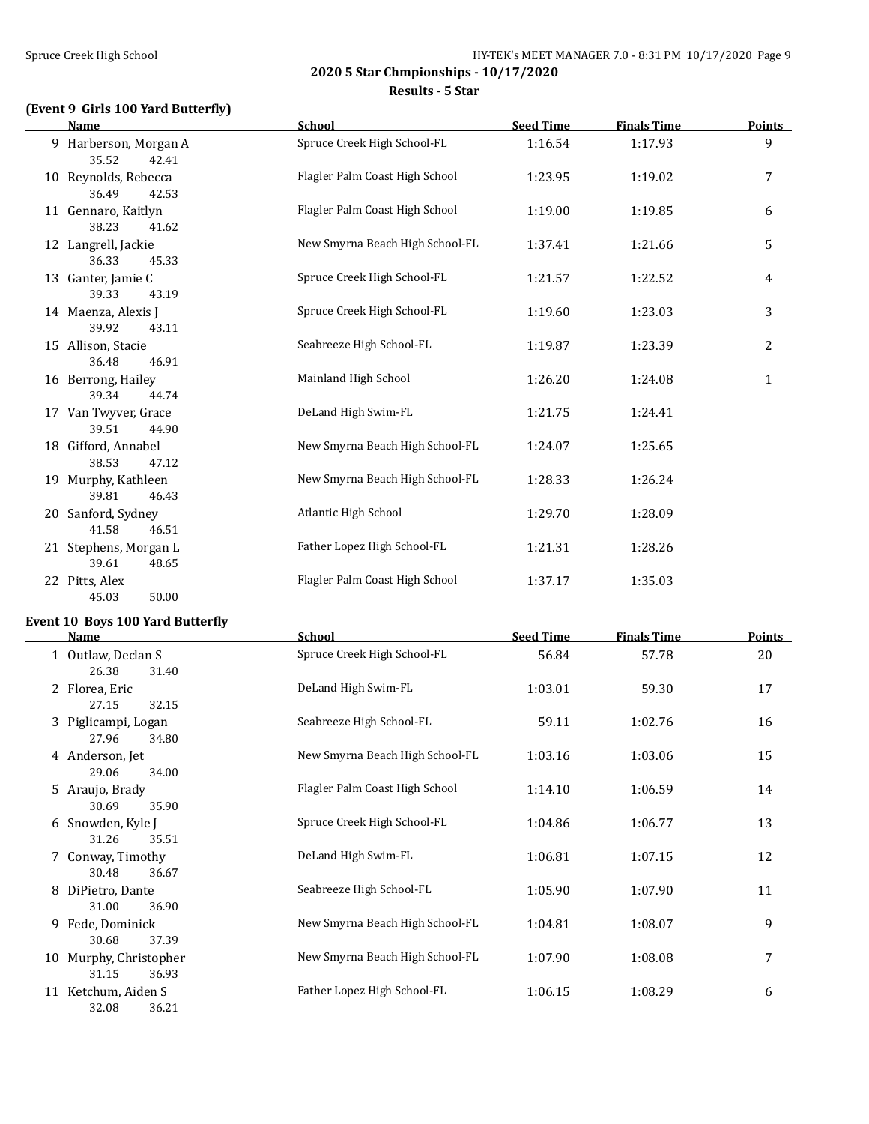**2020 5 Star Chmpionships - 10/17/2020 Results - 5 Star**

# **(Event 9 Girls 100 Yard Butterfly)**

| <b>Name</b>                             | <b>School</b>                   | <b>Seed Time</b> | <b>Finals Time</b> | <b>Points</b> |
|-----------------------------------------|---------------------------------|------------------|--------------------|---------------|
| 9 Harberson, Morgan A<br>35.52<br>42.41 | Spruce Creek High School-FL     | 1:16.54          | 1:17.93            | 9             |
| 10 Reynolds, Rebecca<br>36.49<br>42.53  | Flagler Palm Coast High School  | 1:23.95          | 1:19.02            | 7             |
| 11 Gennaro, Kaitlyn<br>38.23<br>41.62   | Flagler Palm Coast High School  | 1:19.00          | 1:19.85            | 6             |
| 12 Langrell, Jackie<br>36.33<br>45.33   | New Smyrna Beach High School-FL | 1:37.41          | 1:21.66            | 5             |
| 13 Ganter, Jamie C<br>39.33<br>43.19    | Spruce Creek High School-FL     | 1:21.57          | 1:22.52            | 4             |
| 14 Maenza, Alexis J<br>39.92<br>43.11   | Spruce Creek High School-FL     | 1:19.60          | 1:23.03            | 3             |
| 15 Allison, Stacie<br>36.48<br>46.91    | Seabreeze High School-FL        | 1:19.87          | 1:23.39            | 2             |
| 16 Berrong, Hailey<br>39.34<br>44.74    | Mainland High School            | 1:26.20          | 1:24.08            | $\mathbf{1}$  |
| 17 Van Twyver, Grace<br>39.51<br>44.90  | DeLand High Swim-FL             | 1:21.75          | 1:24.41            |               |
| 18 Gifford, Annabel<br>38.53<br>47.12   | New Smyrna Beach High School-FL | 1:24.07          | 1:25.65            |               |
| 19 Murphy, Kathleen<br>39.81<br>46.43   | New Smyrna Beach High School-FL | 1:28.33          | 1:26.24            |               |
| 20 Sanford, Sydney<br>41.58<br>46.51    | <b>Atlantic High School</b>     | 1:29.70          | 1:28.09            |               |
| 21 Stephens, Morgan L<br>39.61<br>48.65 | Father Lopez High School-FL     | 1:21.31          | 1:28.26            |               |
| 22 Pitts, Alex<br>50.00<br>45.03        | Flagler Palm Coast High School  | 1:37.17          | 1:35.03            |               |

## **Event 10 Boys 100 Yard Butterfly**

| <b>Name</b>                              | <b>School</b>                   | <b>Seed Time</b> | <b>Finals Time</b> | <b>Points</b> |
|------------------------------------------|---------------------------------|------------------|--------------------|---------------|
| 1 Outlaw, Declan S<br>26.38<br>31.40     | Spruce Creek High School-FL     | 56.84            | 57.78              | 20            |
| 2 Florea, Eric<br>27.15<br>32.15         | DeLand High Swim-FL             | 1:03.01          | 59.30              | 17            |
| 3 Piglicampi, Logan<br>27.96<br>34.80    | Seabreeze High School-FL        | 59.11            | 1:02.76            | 16            |
| 4 Anderson, Jet<br>29.06<br>34.00        | New Smyrna Beach High School-FL | 1:03.16          | 1:03.06            | 15            |
| 5 Araujo, Brady<br>30.69<br>35.90        | Flagler Palm Coast High School  | 1:14.10          | 1:06.59            | 14            |
| 6 Snowden, Kyle J<br>31.26<br>35.51      | Spruce Creek High School-FL     | 1:04.86          | 1:06.77            | 13            |
| 7 Conway, Timothy<br>30.48<br>36.67      | DeLand High Swim-FL             | 1:06.81          | 1:07.15            | 12            |
| 8 DiPietro, Dante<br>31.00<br>36.90      | Seabreeze High School-FL        | 1:05.90          | 1:07.90            | 11            |
| 9 Fede, Dominick<br>30.68<br>37.39       | New Smyrna Beach High School-FL | 1:04.81          | 1:08.07            | 9             |
| 10 Murphy, Christopher<br>31.15<br>36.93 | New Smyrna Beach High School-FL | 1:07.90          | 1:08.08            | 7             |
| 11 Ketchum, Aiden S<br>32.08<br>36.21    | Father Lopez High School-FL     | 1:06.15          | 1:08.29            | 6             |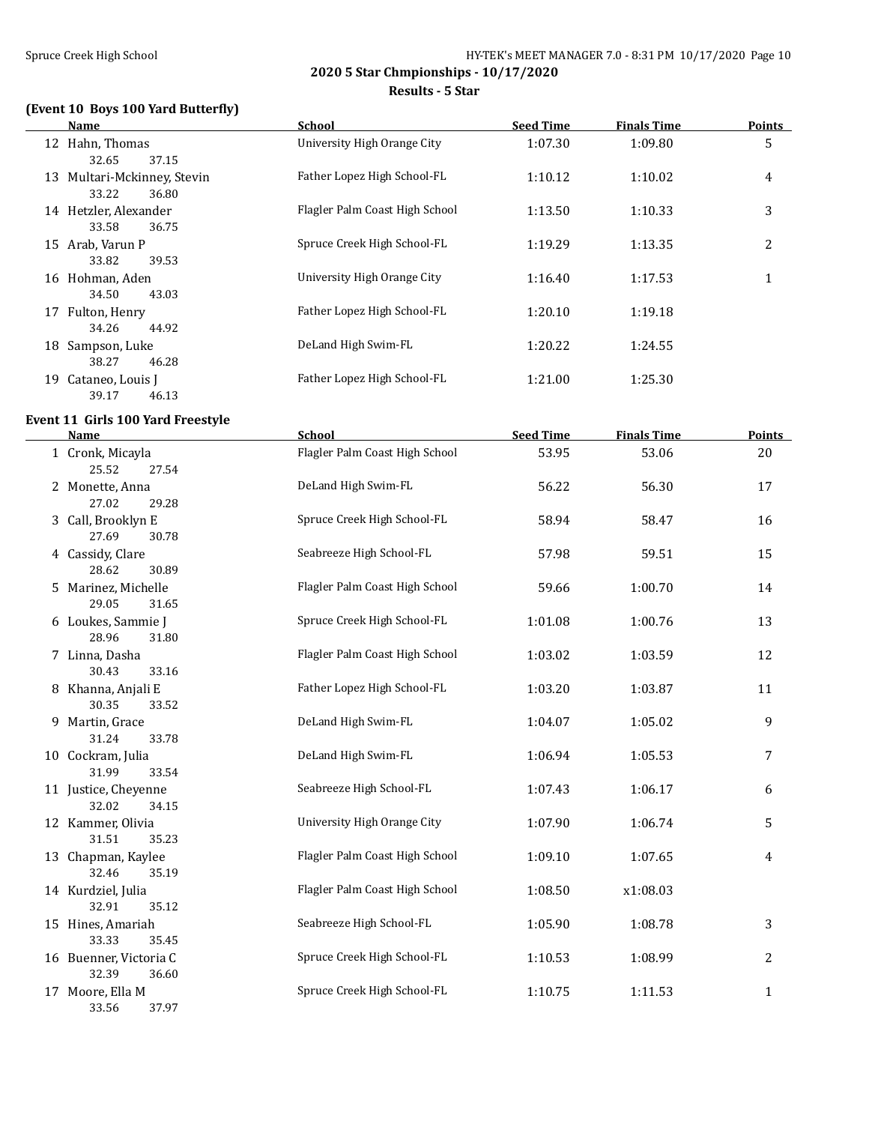#### Spruce Creek High School Spruce Creek High School Spruce Creek High School Spruce Creek High School Spruce Creek High School Spruce Creek High School Spruce Creek High School Spruce Creek High School Spruce Creek High Scho

**2020 5 Star Chmpionships - 10/17/2020**

**Results - 5 Star**

# **(Event 10 Boys 100 Yard Butterfly)**

|    | Name                     | <b>School</b>                  | <b>Seed Time</b> | <b>Finals Time</b> | <b>Points</b> |
|----|--------------------------|--------------------------------|------------------|--------------------|---------------|
|    | 12 Hahn, Thomas          | University High Orange City    | 1:07.30          | 1:09.80            | 5             |
|    | 37.15<br>32.65           |                                |                  |                    |               |
| 13 | Multari-Mckinney, Stevin | Father Lopez High School-FL    | 1:10.12          | 1:10.02            | 4             |
|    | 33.22<br>36.80           |                                |                  |                    |               |
| 14 | Hetzler, Alexander       | Flagler Palm Coast High School | 1:13.50          | 1:10.33            | 3             |
|    | 33.58<br>36.75           |                                |                  |                    |               |
| 15 | Arab, Varun P            | Spruce Creek High School-FL    | 1:19.29          | 1:13.35            | 2             |
|    | 33.82<br>39.53           |                                |                  |                    |               |
| 16 | Hohman, Aden             | University High Orange City    | 1:16.40          | 1:17.53            | 1             |
|    | 34.50<br>43.03           |                                |                  |                    |               |
| 17 | Fulton, Henry            | Father Lopez High School-FL    | 1:20.10          | 1:19.18            |               |
|    | 44.92<br>34.26           |                                |                  |                    |               |
| 18 | Sampson, Luke            | DeLand High Swim-FL            | 1:20.22          | 1:24.55            |               |
|    | 38.27<br>46.28           |                                |                  |                    |               |
| 19 | Cataneo, Louis J         | Father Lopez High School-FL    | 1:21.00          | 1:25.30            |               |
|    | 46.13<br>39.17           |                                |                  |                    |               |

#### **Event 11 Girls 100 Yard Freestyle**

| <b>Name</b>                              | School                         | <b>Seed Time</b> | <b>Finals Time</b> | <b>Points</b>  |
|------------------------------------------|--------------------------------|------------------|--------------------|----------------|
| 1 Cronk, Micayla<br>25.52<br>27.54       | Flagler Palm Coast High School | 53.95            | 53.06              | 20             |
| 2 Monette, Anna<br>27.02<br>29.28        | DeLand High Swim-FL            | 56.22            | 56.30              | 17             |
| 3 Call, Brooklyn E<br>27.69<br>30.78     | Spruce Creek High School-FL    | 58.94            | 58.47              | 16             |
| 4 Cassidy, Clare<br>28.62<br>30.89       | Seabreeze High School-FL       | 57.98            | 59.51              | 15             |
| 5 Marinez, Michelle<br>29.05<br>31.65    | Flagler Palm Coast High School | 59.66            | 1:00.70            | 14             |
| 6 Loukes, Sammie J<br>28.96<br>31.80     | Spruce Creek High School-FL    | 1:01.08          | 1:00.76            | 13             |
| 7 Linna, Dasha<br>30.43<br>33.16         | Flagler Palm Coast High School | 1:03.02          | 1:03.59            | 12             |
| 8 Khanna, Anjali E<br>30.35<br>33.52     | Father Lopez High School-FL    | 1:03.20          | 1:03.87            | 11             |
| 9 Martin, Grace<br>31.24<br>33.78        | DeLand High Swim-FL            | 1:04.07          | 1:05.02            | 9              |
| 10 Cockram, Julia<br>31.99<br>33.54      | DeLand High Swim-FL            | 1:06.94          | 1:05.53            | 7              |
| 11 Justice, Cheyenne<br>32.02<br>34.15   | Seabreeze High School-FL       | 1:07.43          | 1:06.17            | 6              |
| 12 Kammer, Olivia<br>31.51<br>35.23      | University High Orange City    | 1:07.90          | 1:06.74            | 5              |
| 13 Chapman, Kaylee<br>32.46<br>35.19     | Flagler Palm Coast High School | 1:09.10          | 1:07.65            | 4              |
| 14 Kurdziel, Julia<br>32.91<br>35.12     | Flagler Palm Coast High School | 1:08.50          | x1:08.03           |                |
| 15 Hines, Amariah<br>33.33<br>35.45      | Seabreeze High School-FL       | 1:05.90          | 1:08.78            | 3              |
| 16 Buenner, Victoria C<br>32.39<br>36.60 | Spruce Creek High School-FL    | 1:10.53          | 1:08.99            | $\overline{c}$ |
| 17 Moore, Ella M<br>33.56<br>37.97       | Spruce Creek High School-FL    | 1:10.75          | 1:11.53            | $\mathbf{1}$   |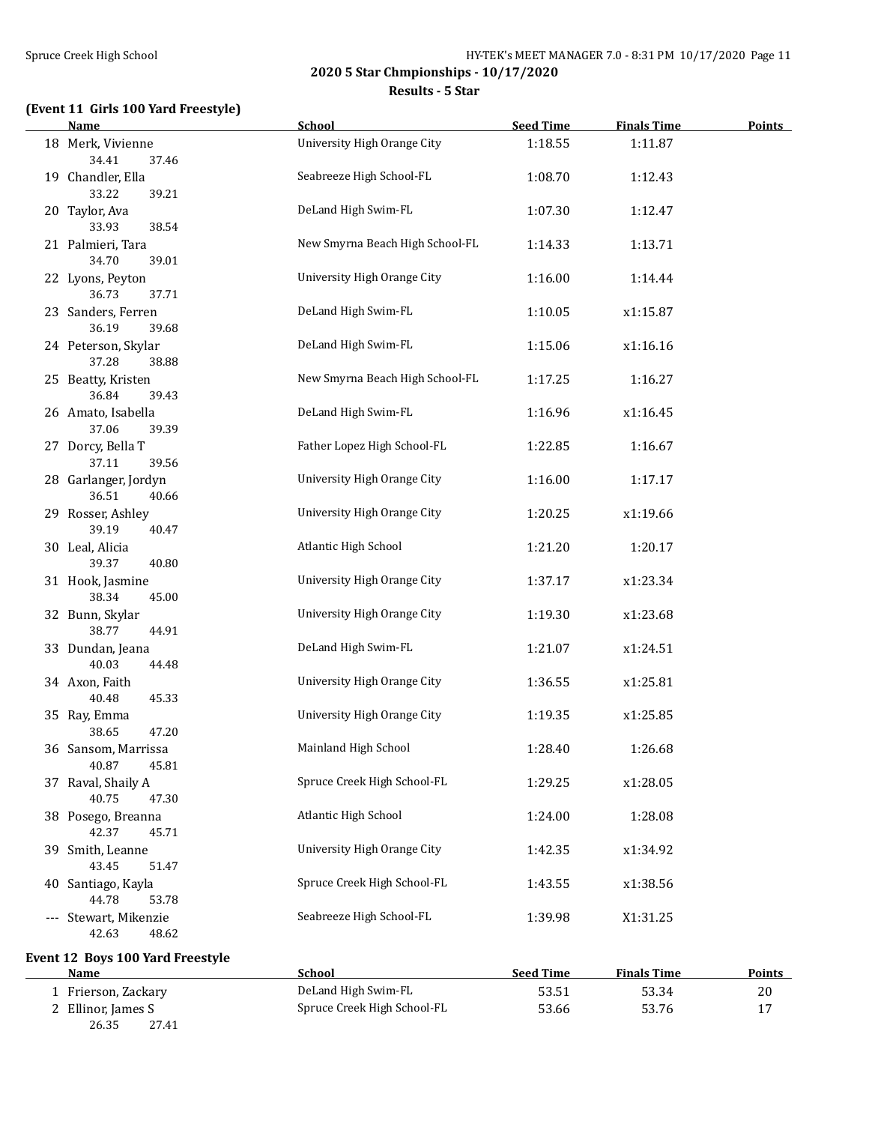$\overline{a}$ 

**2020 5 Star Chmpionships - 10/17/2020**

**Results - 5 Star**

## **(Event 11 Girls 100 Yard Freestyle)**

| <b>Name</b>                             | <b>School</b>                   | <b>Seed Time</b> | <b>Finals Time</b> | <b>Points</b> |
|-----------------------------------------|---------------------------------|------------------|--------------------|---------------|
| 18 Merk, Vivienne<br>34.41<br>37.46     | University High Orange City     | 1:18.55          | 1:11.87            |               |
| 19 Chandler, Ella<br>33.22<br>39.21     | Seabreeze High School-FL        | 1:08.70          | 1:12.43            |               |
| 20 Taylor, Ava<br>38.54<br>33.93        | DeLand High Swim-FL             | 1:07.30          | 1:12.47            |               |
| 21 Palmieri, Tara<br>34.70<br>39.01     | New Smyrna Beach High School-FL | 1:14.33          | 1:13.71            |               |
| 22 Lyons, Peyton<br>36.73<br>37.71      | University High Orange City     | 1:16.00          | 1:14.44            |               |
| 23 Sanders, Ferren<br>36.19<br>39.68    | DeLand High Swim-FL             | 1:10.05          | x1:15.87           |               |
| 24 Peterson, Skylar<br>37.28<br>38.88   | DeLand High Swim-FL             | 1:15.06          | x1:16.16           |               |
| 25 Beatty, Kristen<br>36.84<br>39.43    | New Smyrna Beach High School-FL | 1:17.25          | 1:16.27            |               |
| 26 Amato, Isabella<br>37.06<br>39.39    | DeLand High Swim-FL             | 1:16.96          | x1:16.45           |               |
| 27 Dorcy, Bella T<br>37.11<br>39.56     | Father Lopez High School-FL     | 1:22.85          | 1:16.67            |               |
| 28 Garlanger, Jordyn<br>36.51<br>40.66  | University High Orange City     | 1:16.00          | 1:17.17            |               |
| 29 Rosser, Ashley<br>39.19<br>40.47     | University High Orange City     | 1:20.25          | x1:19.66           |               |
| 30 Leal, Alicia<br>39.37<br>40.80       | Atlantic High School            | 1:21.20          | 1:20.17            |               |
| 31 Hook, Jasmine<br>38.34<br>45.00      | University High Orange City     | 1:37.17          | x1:23.34           |               |
| 32 Bunn, Skylar<br>38.77<br>44.91       | University High Orange City     | 1:19.30          | x1:23.68           |               |
| 33 Dundan, Jeana<br>40.03<br>44.48      | DeLand High Swim-FL             | 1:21.07          | x1:24.51           |               |
| 34 Axon, Faith<br>40.48<br>45.33        | University High Orange City     | 1:36.55          | x1:25.81           |               |
| 35 Ray, Emma<br>38.65<br>47.20          | University High Orange City     | 1:19.35          | x1:25.85           |               |
| 36 Sansom, Marrissa<br>40.87<br>45.81   | Mainland High School            | 1:28.40          | 1:26.68            |               |
| 37 Raval, Shaily A<br>40.75<br>47.30    | Spruce Creek High School-FL     | 1:29.25          | x1:28.05           |               |
| 38 Posego, Breanna<br>42.37<br>45.71    | Atlantic High School            | 1:24.00          | 1:28.08            |               |
| 39 Smith, Leanne<br>43.45<br>51.47      | University High Orange City     | 1:42.35          | x1:34.92           |               |
| 40 Santiago, Kayla<br>44.78<br>53.78    | Spruce Creek High School-FL     | 1:43.55          | x1:38.56           |               |
| --- Stewart, Mikenzie<br>42.63<br>48.62 | Seabreeze High School-FL        | 1:39.98          | X1:31.25           |               |
| Event 12 Boys 100 Yard Freestyle        |                                 |                  |                    |               |

| Name                | School                      | <b>Seed Time</b> | <b>Finals Time</b> | Points |
|---------------------|-----------------------------|------------------|--------------------|--------|
| 1 Frierson, Zackary | DeLand High Swim-FL         | 53.51            | 53.34              | 20     |
| 2 Ellinor, James S  | Spruce Creek High School-FL | 53.66            | 53.76              | 17     |
| 26.35<br>27.41      |                             |                  |                    |        |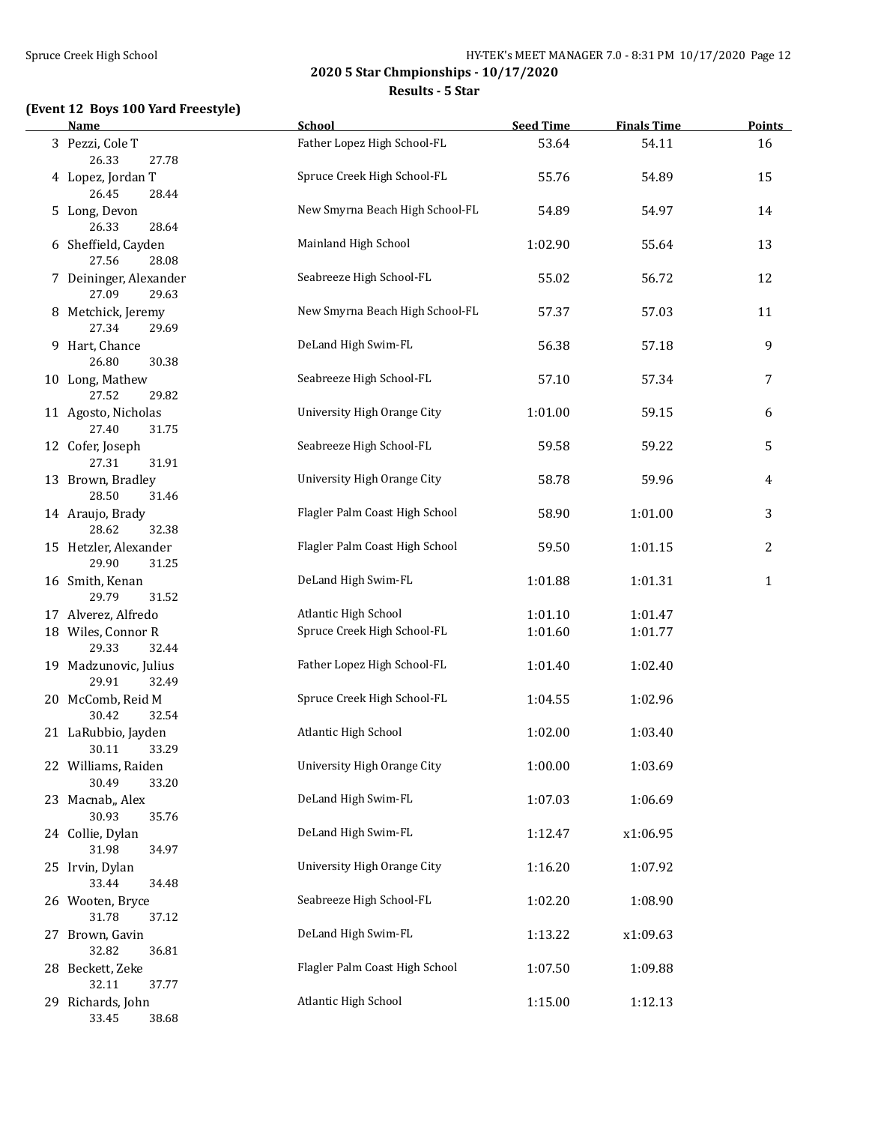**Results - 5 Star**

## **(Event 12 Boys 100 Yard Freestyle)**

| Name                                     | <b>School</b>                   | <b>Seed Time</b> | <b>Finals Time</b> | <b>Points</b>  |
|------------------------------------------|---------------------------------|------------------|--------------------|----------------|
| 3 Pezzi, Cole T<br>26.33<br>27.78        | Father Lopez High School-FL     | 53.64            | 54.11              | 16             |
| 4 Lopez, Jordan T<br>26.45<br>28.44      | Spruce Creek High School-FL     | 55.76            | 54.89              | 15             |
| 5 Long, Devon<br>26.33<br>28.64          | New Smyrna Beach High School-FL | 54.89            | 54.97              | 14             |
| 6 Sheffield, Cayden<br>27.56<br>28.08    | Mainland High School            | 1:02.90          | 55.64              | 13             |
| 7 Deininger, Alexander<br>27.09<br>29.63 | Seabreeze High School-FL        | 55.02            | 56.72              | 12             |
| 8 Metchick, Jeremy<br>27.34<br>29.69     | New Smyrna Beach High School-FL | 57.37            | 57.03              | 11             |
| 9 Hart, Chance<br>26.80<br>30.38         | DeLand High Swim-FL             | 56.38            | 57.18              | 9              |
| 10 Long, Mathew<br>27.52<br>29.82        | Seabreeze High School-FL        | 57.10            | 57.34              | 7              |
| 11 Agosto, Nicholas<br>27.40<br>31.75    | University High Orange City     | 1:01.00          | 59.15              | 6              |
| 12 Cofer, Joseph<br>27.31<br>31.91       | Seabreeze High School-FL        | 59.58            | 59.22              | 5              |
| 13 Brown, Bradley<br>28.50<br>31.46      | University High Orange City     | 58.78            | 59.96              | 4              |
| 14 Araujo, Brady<br>28.62<br>32.38       | Flagler Palm Coast High School  | 58.90            | 1:01.00            | 3              |
| 15 Hetzler, Alexander<br>29.90<br>31.25  | Flagler Palm Coast High School  | 59.50            | 1:01.15            | $\overline{c}$ |
| 16 Smith, Kenan<br>29.79<br>31.52        | DeLand High Swim-FL             | 1:01.88          | 1:01.31            | $\mathbf{1}$   |
| 17 Alverez, Alfredo                      | Atlantic High School            | 1:01.10          | 1:01.47            |                |
| 18 Wiles, Connor R<br>29.33<br>32.44     | Spruce Creek High School-FL     | 1:01.60          | 1:01.77            |                |
| 19 Madzunovic, Julius<br>29.91<br>32.49  | Father Lopez High School-FL     | 1:01.40          | 1:02.40            |                |
| 20 McComb, Reid M<br>30.42<br>32.54      | Spruce Creek High School-FL     | 1:04.55          | 1:02.96            |                |
| 21 LaRubbio, Jayden<br>30.11<br>33.29    | Atlantic High School            | 1:02.00          | 1:03.40            |                |
| 22 Williams, Raiden<br>30.49<br>33.20    | University High Orange City     | 1:00.00          | 1:03.69            |                |
| 23 Macnab,, Alex<br>30.93<br>35.76       | DeLand High Swim-FL             | 1:07.03          | 1:06.69            |                |
| 24 Collie, Dylan<br>31.98<br>34.97       | DeLand High Swim-FL             | 1:12.47          | x1:06.95           |                |
| 25 Irvin, Dylan<br>33.44<br>34.48        | University High Orange City     | 1:16.20          | 1:07.92            |                |
| 26 Wooten, Bryce<br>31.78<br>37.12       | Seabreeze High School-FL        | 1:02.20          | 1:08.90            |                |
| 27 Brown, Gavin<br>32.82<br>36.81        | DeLand High Swim-FL             | 1:13.22          | x1:09.63           |                |
| 28 Beckett, Zeke<br>32.11<br>37.77       | Flagler Palm Coast High School  | 1:07.50          | 1:09.88            |                |
| 29 Richards, John<br>33.45<br>38.68      | Atlantic High School            | 1:15.00          | 1:12.13            |                |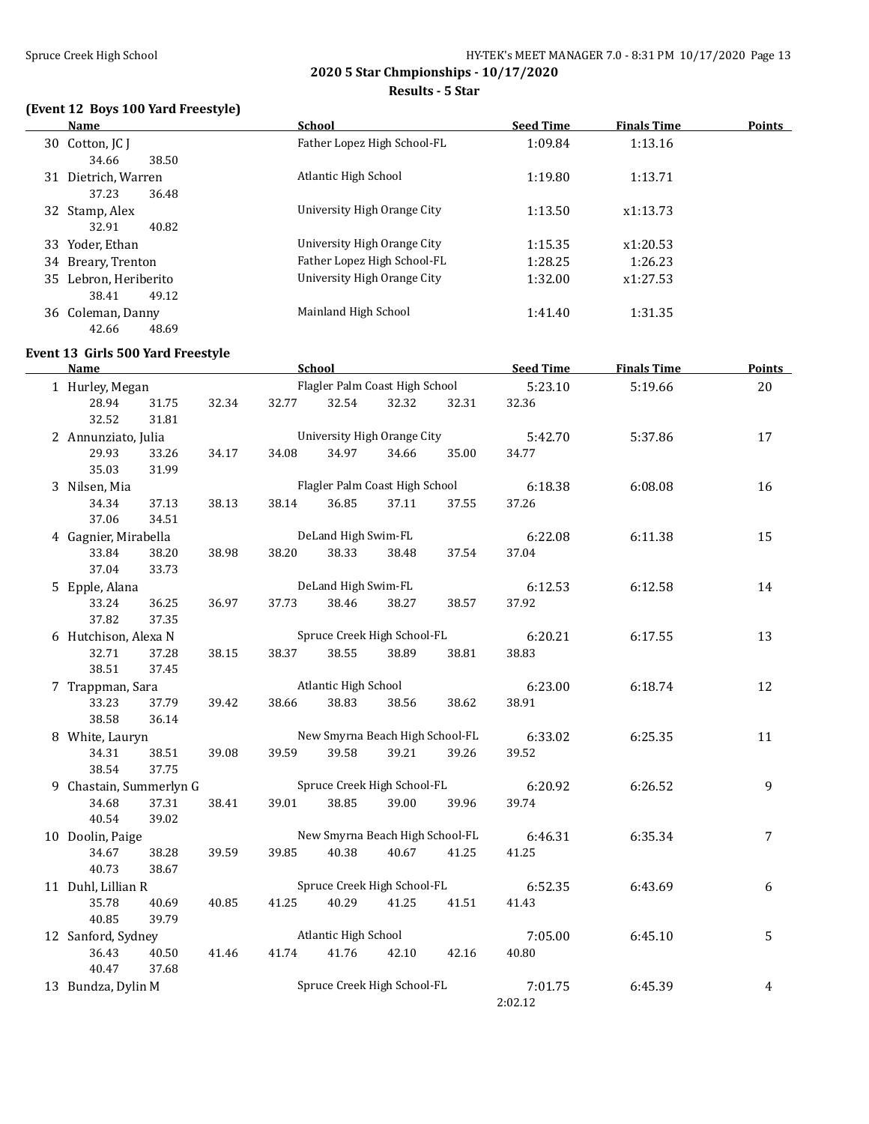**Results - 5 Star**

# **(Event 12 Boys 100 Yard Freestyle)**

|    | <b>Name</b>        | <b>School</b>               | <b>Seed Time</b> | <b>Finals Time</b><br>Points |
|----|--------------------|-----------------------------|------------------|------------------------------|
|    | 30 Cotton, JC J    | Father Lopez High School-FL | 1:09.84          | 1:13.16                      |
|    | 38.50<br>34.66     |                             |                  |                              |
| 31 | Dietrich, Warren   | Atlantic High School        | 1:19.80          | 1:13.71                      |
|    | 36.48<br>37.23     |                             |                  |                              |
|    | 32 Stamp, Alex     | University High Orange City | 1:13.50          | x1:13.73                     |
|    | 40.82<br>32.91     |                             |                  |                              |
|    | 33 Yoder, Ethan    | University High Orange City | 1:15.35          | x1:20.53                     |
|    | 34 Breary, Trenton | Father Lopez High School-FL | 1:28.25          | 1:26.23                      |
| 35 | Lebron, Heriberito | University High Orange City | 1:32.00          | x1:27.53                     |
|    | 49.12<br>38.41     |                             |                  |                              |
|    | 36 Coleman, Danny  | Mainland High School        | 1:41.40          | 1:31.35                      |
|    | 48.69<br>42.66     |                             |                  |                              |

## **Event 13 Girls 500 Yard Freestyle**

| Name                    |       |       |       | <b>School</b>                  |                                 |         | <b>Seed Time</b> | <b>Finals Time</b> | <b>Points</b>  |
|-------------------------|-------|-------|-------|--------------------------------|---------------------------------|---------|------------------|--------------------|----------------|
| 1 Hurley, Megan         |       |       |       | Flagler Palm Coast High School | 5:23.10                         | 5:19.66 | 20               |                    |                |
| 28.94                   | 31.75 | 32.34 | 32.77 | 32.54                          | 32.32                           | 32.31   | 32.36            |                    |                |
| 32.52                   | 31.81 |       |       |                                |                                 |         |                  |                    |                |
| 2 Annunziato, Julia     |       |       |       |                                | University High Orange City     |         | 5:42.70          | 5:37.86            | 17             |
| 29.93                   | 33.26 | 34.17 | 34.08 | 34.97                          | 34.66                           | 35.00   | 34.77            |                    |                |
| 35.03                   | 31.99 |       |       |                                |                                 |         |                  |                    |                |
| 3 Nilsen, Mia           |       |       |       |                                | Flagler Palm Coast High School  |         | 6:18.38          | 6:08.08            | 16             |
| 34.34                   | 37.13 | 38.13 | 38.14 | 36.85                          | 37.11                           | 37.55   | 37.26            |                    |                |
| 37.06                   | 34.51 |       |       |                                |                                 |         |                  |                    |                |
| 4 Gagnier, Mirabella    |       |       |       | DeLand High Swim-FL            |                                 |         | 6:22.08          | 6:11.38            | 15             |
| 33.84                   | 38.20 | 38.98 | 38.20 | 38.33                          | 38.48                           | 37.54   | 37.04            |                    |                |
| 37.04                   | 33.73 |       |       |                                |                                 |         |                  |                    |                |
| 5 Epple, Alana          |       |       |       | DeLand High Swim-FL            |                                 |         | 6:12.53          | 6:12.58            | 14             |
| 33.24                   | 36.25 | 36.97 | 37.73 | 38.46                          | 38.27                           | 38.57   | 37.92            |                    |                |
| 37.82                   | 37.35 |       |       |                                |                                 |         |                  |                    |                |
| 6 Hutchison, Alexa N    |       |       |       |                                | Spruce Creek High School-FL     |         | 6:20.21          | 6:17.55            | 13             |
| 32.71                   | 37.28 | 38.15 | 38.37 | 38.55                          | 38.89                           | 38.81   | 38.83            |                    |                |
| 38.51                   | 37.45 |       |       |                                |                                 |         |                  |                    |                |
| 7 Trappman, Sara        |       |       |       | Atlantic High School           |                                 |         | 6:23.00          | 6:18.74            | 12             |
| 33.23                   | 37.79 | 39.42 | 38.66 | 38.83                          | 38.56                           | 38.62   | 38.91            |                    |                |
| 38.58                   | 36.14 |       |       |                                |                                 |         |                  |                    |                |
| 8 White, Lauryn         |       |       |       |                                | New Smyrna Beach High School-FL |         | 6:33.02          | 6:25.35            | 11             |
| 34.31                   | 38.51 | 39.08 | 39.59 | 39.58                          | 39.21                           | 39.26   | 39.52            |                    |                |
| 38.54                   | 37.75 |       |       |                                |                                 |         |                  |                    |                |
| 9 Chastain, Summerlyn G |       |       |       |                                | Spruce Creek High School-FL     |         | 6:20.92          | 6:26.52            | 9              |
| 34.68                   | 37.31 | 38.41 | 39.01 | 38.85                          | 39.00                           | 39.96   | 39.74            |                    |                |
| 40.54                   | 39.02 |       |       |                                |                                 |         |                  |                    |                |
| 10 Doolin, Paige        |       |       |       |                                | New Smyrna Beach High School-FL |         | 6:46.31          | 6:35.34            | $\overline{7}$ |
| 34.67                   | 38.28 | 39.59 | 39.85 | 40.38                          | 40.67                           | 41.25   | 41.25            |                    |                |
| 40.73                   | 38.67 |       |       |                                |                                 |         |                  |                    |                |
| 11 Duhl, Lillian R      |       |       |       |                                | Spruce Creek High School-FL     |         | 6:52.35          | 6:43.69            | 6              |
| 35.78                   | 40.69 | 40.85 | 41.25 | 40.29                          | 41.25                           | 41.51   | 41.43            |                    |                |
| 40.85                   | 39.79 |       |       |                                |                                 |         |                  |                    |                |
| 12 Sanford, Sydney      |       |       |       | Atlantic High School           |                                 |         | 7:05.00          | 6:45.10            | 5              |
| 36.43                   | 40.50 | 41.46 | 41.74 | 41.76                          | 42.10                           | 42.16   | 40.80            |                    |                |
| 40.47                   | 37.68 |       |       |                                |                                 |         |                  |                    |                |
| 13 Bundza, Dylin M      |       |       |       |                                | Spruce Creek High School-FL     |         | 7:01.75          | 6:45.39            | 4              |
|                         |       |       |       |                                |                                 |         | 2:02.12          |                    |                |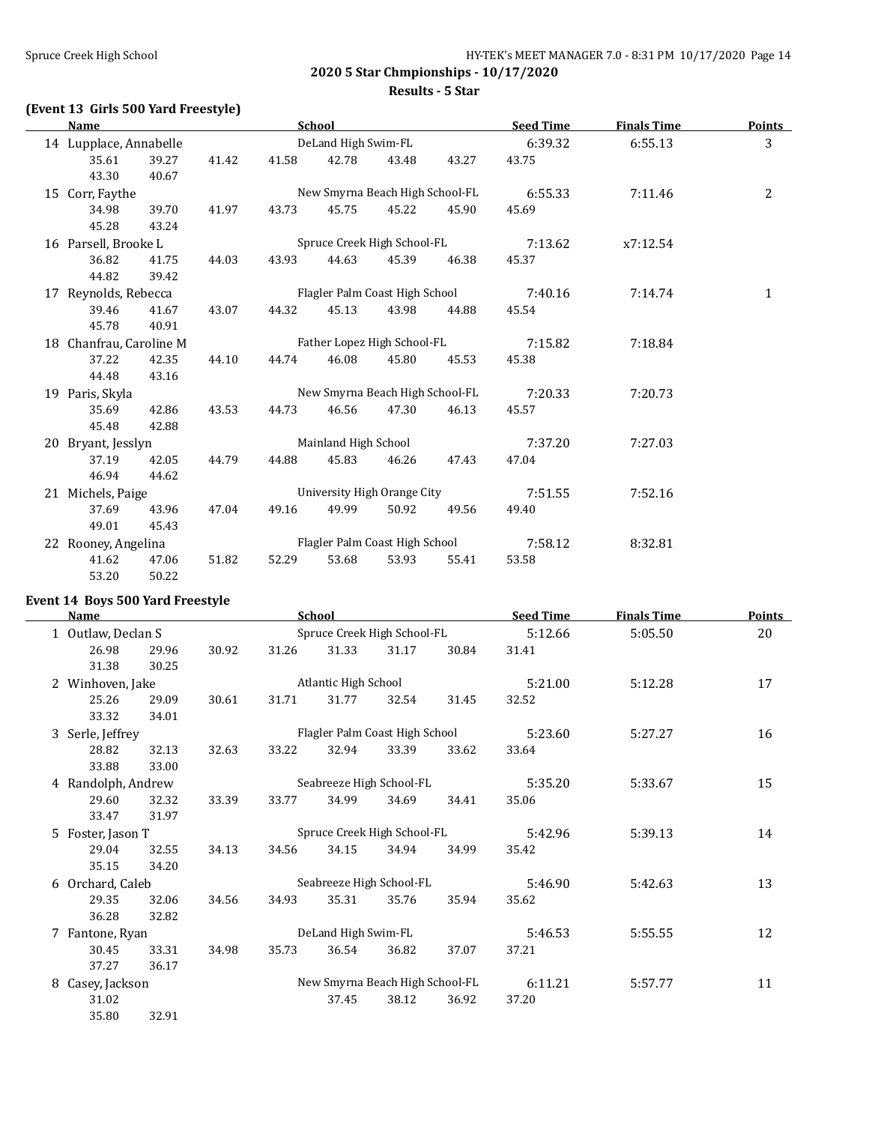#### **Results - 5 Star**

# **(Event 13 Girls 500 Yard Freestyle)**

| <b>Name</b>             |       |       |                                | <b>School</b>        |                                 |       | <b>Seed Time</b> | <b>Finals Time</b> | <b>Points</b> |
|-------------------------|-------|-------|--------------------------------|----------------------|---------------------------------|-------|------------------|--------------------|---------------|
| 14 Lupplace, Annabelle  |       |       |                                | DeLand High Swim-FL  |                                 |       | 6:39.32          | 6:55.13            | 3             |
| 35.61                   | 39.27 | 41.42 | 41.58                          | 42.78                | 43.48                           | 43.27 | 43.75            |                    |               |
| 43.30                   | 40.67 |       |                                |                      |                                 |       |                  |                    |               |
| 15 Corr, Faythe         |       |       |                                |                      | New Smyrna Beach High School-FL |       | 6:55.33          | 7:11.46            | 2             |
| 34.98                   | 39.70 | 41.97 | 43.73                          | 45.75                | 45.22                           | 45.90 | 45.69            |                    |               |
| 45.28                   | 43.24 |       |                                |                      |                                 |       |                  |                    |               |
| 16 Parsell, Brooke L    |       |       | Spruce Creek High School-FL    |                      |                                 |       | 7:13.62          | x7:12.54           |               |
| 36.82                   | 41.75 | 44.03 | 43.93                          | 44.63                | 45.39                           | 46.38 | 45.37            |                    |               |
| 44.82                   | 39.42 |       |                                |                      |                                 |       |                  |                    |               |
| 17 Reynolds, Rebecca    |       |       | Flagler Palm Coast High School |                      |                                 |       | 7:40.16          | 7:14.74            | $\mathbf{1}$  |
| 39.46                   | 41.67 | 43.07 | 44.32                          | 45.13                | 43.98                           | 44.88 | 45.54            |                    |               |
| 45.78                   | 40.91 |       |                                |                      |                                 |       |                  |                    |               |
| 18 Chanfrau, Caroline M |       |       |                                |                      | Father Lopez High School-FL     |       | 7:15.82          | 7:18.84            |               |
| 37.22                   | 42.35 | 44.10 | 44.74                          | 46.08                | 45.80                           | 45.53 | 45.38            |                    |               |
| 44.48                   | 43.16 |       |                                |                      |                                 |       |                  |                    |               |
| 19 Paris, Skyla         |       |       |                                |                      | New Smyrna Beach High School-FL |       | 7:20.33          | 7:20.73            |               |
| 35.69                   | 42.86 | 43.53 | 44.73                          | 46.56                | 47.30                           | 46.13 | 45.57            |                    |               |
| 45.48                   | 42.88 |       |                                |                      |                                 |       |                  |                    |               |
| 20 Bryant, Jesslyn      |       |       |                                | Mainland High School |                                 |       | 7:37.20          | 7:27.03            |               |
| 37.19                   | 42.05 | 44.79 | 44.88                          | 45.83                | 46.26                           | 47.43 | 47.04            |                    |               |
| 46.94                   | 44.62 |       |                                |                      |                                 |       |                  |                    |               |
| 21 Michels, Paige       |       |       |                                |                      | University High Orange City     |       | 7:51.55          | 7:52.16            |               |
| 37.69                   | 43.96 | 47.04 | 49.16                          | 49.99                | 50.92                           | 49.56 | 49.40            |                    |               |
| 49.01                   | 45.43 |       |                                |                      |                                 |       |                  |                    |               |
| 22 Rooney, Angelina     |       |       |                                |                      | Flagler Palm Coast High School  |       | 7:58.12          | 8:32.81            |               |
| 41.62                   | 47.06 | 51.82 | 52.29                          | 53.68                | 53.93                           | 55.41 | 53.58            |                    |               |
| 53.20                   | 50.22 |       |                                |                      |                                 |       |                  |                    |               |

#### **Event 14 Boys 500 Yard Freestyle**

|   | <b>Name</b>        |                                                  |       |                             | School                          |       |         | <b>Seed Time</b> | <b>Finals Time</b> | <b>Points</b> |
|---|--------------------|--------------------------------------------------|-------|-----------------------------|---------------------------------|-------|---------|------------------|--------------------|---------------|
|   |                    | Outlaw, Declan S                                 |       | Spruce Creek High School-FL |                                 |       |         |                  | 5:05.50            | 20            |
|   | 26.98              | 29.96                                            | 30.92 | 31.26                       | 31.33                           | 31.17 | 30.84   | 31.41            |                    |               |
|   | 31.38              | 30.25                                            |       |                             |                                 |       |         |                  |                    |               |
|   | 2 Winhoven, Jake   |                                                  |       |                             | Atlantic High School            |       |         | 5:21.00          | 5:12.28            | 17            |
|   | 25.26              | 29.09                                            | 30.61 | 31.71                       | 31.77                           | 32.54 | 31.45   | 32.52            |                    |               |
|   | 33.32              | 34.01                                            |       |                             |                                 |       |         |                  |                    |               |
| 3 |                    | Flagler Palm Coast High School<br>Serle, Jeffrey |       |                             |                                 |       | 5:23.60 | 5:27.27          | 16                 |               |
|   | 28.82              | 32.13                                            | 32.63 | 33.22                       | 32.94                           | 33.39 | 33.62   | 33.64            |                    |               |
|   | 33.88              | 33.00                                            |       |                             |                                 |       |         |                  |                    |               |
|   | 4 Randolph, Andrew |                                                  |       |                             | Seabreeze High School-FL        |       |         | 5:35.20          | 5:33.67            | 15            |
|   | 29.60              | 32.32                                            | 33.39 | 33.77                       | 34.99                           | 34.69 | 34.41   | 35.06            |                    |               |
|   | 33.47              | 31.97                                            |       |                             |                                 |       |         |                  |                    |               |
|   | 5 Foster, Jason T  |                                                  |       |                             | Spruce Creek High School-FL     |       |         | 5:42.96          | 5:39.13            | 14            |
|   | 29.04              | 32.55                                            | 34.13 | 34.56                       | 34.15                           | 34.94 | 34.99   | 35.42            |                    |               |
|   | 35.15              | 34.20                                            |       |                             |                                 |       |         |                  |                    |               |
|   | 6 Orchard, Caleb   |                                                  |       |                             | Seabreeze High School-FL        |       |         | 5:46.90          | 5:42.63            | 13            |
|   | 29.35              | 32.06                                            | 34.56 | 34.93                       | 35.31                           | 35.76 | 35.94   | 35.62            |                    |               |
|   | 36.28              | 32.82                                            |       |                             |                                 |       |         |                  |                    |               |
|   | 7 Fantone, Ryan    |                                                  |       |                             | DeLand High Swim-FL             |       |         | 5:46.53          | 5:55.55            | 12            |
|   | 30.45              | 33.31                                            | 34.98 | 35.73                       | 36.54                           | 36.82 | 37.07   | 37.21            |                    |               |
|   | 37.27              | 36.17                                            |       |                             |                                 |       |         |                  |                    |               |
| 8 | Casey, Jackson     |                                                  |       |                             | New Smyrna Beach High School-FL |       |         | 6:11.21          | 5:57.77            | 11            |
|   | 31.02              |                                                  |       |                             | 37.45                           | 38.12 | 36.92   | 37.20            |                    |               |
|   | 35.80              | 32.91                                            |       |                             |                                 |       |         |                  |                    |               |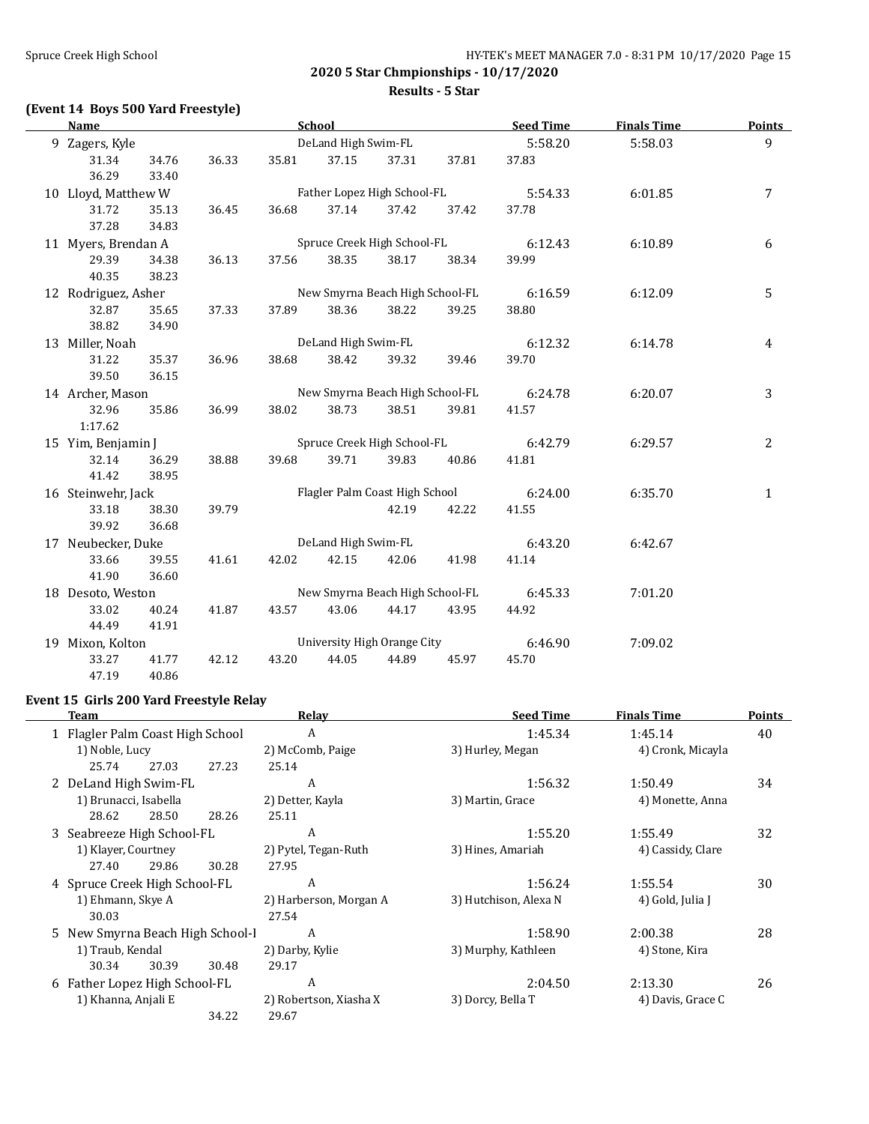**2020 5 Star Chmpionships - 10/17/2020 Results - 5 Star**

# **(Event 14 Boys 500 Yard Freestyle)**

| <b>Name</b>         |                  | School |       | <b>Seed Time</b>                | <b>Finals Time</b> | <b>Points</b> |         |         |              |
|---------------------|------------------|--------|-------|---------------------------------|--------------------|---------------|---------|---------|--------------|
| 9 Zagers, Kyle      |                  |        |       | DeLand High Swim-FL             |                    |               | 5:58.20 | 5:58.03 | 9            |
| 31.34               | 34.76            | 36.33  | 35.81 | 37.15                           | 37.31              | 37.81         | 37.83   |         |              |
| 36.29               | 33.40            |        |       |                                 |                    |               |         |         |              |
| 10 Lloyd, Matthew W |                  |        |       | Father Lopez High School-FL     |                    |               | 5:54.33 | 6:01.85 | 7            |
| 31.72               | 35.13            | 36.45  | 36.68 | 37.14                           | 37.42              | 37.42         | 37.78   |         |              |
| 37.28               | 34.83            |        |       |                                 |                    |               |         |         |              |
| 11 Myers, Brendan A |                  |        |       | Spruce Creek High School-FL     |                    |               | 6:12.43 | 6:10.89 | 6            |
| 29.39               | 34.38            | 36.13  | 37.56 | 38.35                           | 38.17              | 38.34         | 39.99   |         |              |
| 40.35               | 38.23            |        |       |                                 |                    |               |         |         |              |
| 12 Rodriguez, Asher |                  |        |       | New Smyrna Beach High School-FL |                    |               | 6:16.59 | 6:12.09 | 5            |
| 32.87               | 35.65            | 37.33  | 37.89 | 38.36                           | 38.22              | 39.25         | 38.80   |         |              |
| 38.82               | 34.90            |        |       |                                 |                    |               |         |         |              |
| 13 Miller, Noah     |                  |        |       | DeLand High Swim-FL             |                    |               | 6:12.32 | 6:14.78 | 4            |
| 31.22               | 35.37            | 36.96  | 38.68 | 38.42                           | 39.32              | 39.46         | 39.70   |         |              |
| 39.50               | 36.15            |        |       |                                 |                    |               |         |         |              |
| 14 Archer, Mason    |                  |        |       | New Smyrna Beach High School-FL |                    |               | 6:24.78 | 6:20.07 | 3            |
| 32.96               | 35.86            | 36.99  | 38.02 | 38.73                           | 38.51              | 39.81         | 41.57   |         |              |
| 1:17.62             |                  |        |       |                                 |                    |               |         |         |              |
| 15 Yim, Benjamin J  |                  |        |       | Spruce Creek High School-FL     |                    |               | 6:42.79 | 6:29.57 | 2            |
| 32.14               | 36.29            | 38.88  | 39.68 | 39.71                           | 39.83              | 40.86         | 41.81   |         |              |
| 41.42               | 38.95            |        |       |                                 |                    |               |         |         |              |
| 16 Steinwehr, Jack  |                  |        |       | Flagler Palm Coast High School  |                    |               | 6:24.00 | 6:35.70 | $\mathbf{1}$ |
| 33.18               | 38.30            | 39.79  |       |                                 | 42.19              | 42.22         | 41.55   |         |              |
| 39.92               | 36.68            |        |       |                                 |                    |               |         |         |              |
| 17 Neubecker, Duke  |                  |        |       | DeLand High Swim-FL             |                    |               | 6:43.20 | 6:42.67 |              |
| 33.66               | 39.55            | 41.61  | 42.02 | 42.15                           | 42.06              | 41.98         | 41.14   |         |              |
| 41.90               | 36.60            |        |       |                                 |                    |               |         |         |              |
| 18 Desoto, Weston   |                  |        |       | New Smyrna Beach High School-FL |                    |               | 6:45.33 | 7:01.20 |              |
| 33.02               | 40.24            | 41.87  | 43.57 | 43.06                           | 44.17              | 43.95         | 44.92   |         |              |
| 44.49               | 41.91            |        |       |                                 |                    |               |         |         |              |
|                     | 19 Mixon, Kolton |        |       | University High Orange City     |                    |               | 6:46.90 | 7:09.02 |              |
| 33.27               | 41.77            | 42.12  | 43.20 | 44.05                           | 44.89              | 45.97         | 45.70   |         |              |
| 47.19               | 40.86            |        |       |                                 |                    |               |         |         |              |

## **Event 15 Girls 200 Yard Freestyle Relay**

| Team                             |       | Relay                  | <b>Seed Time</b>      | <b>Finals Time</b> | <b>Points</b> |
|----------------------------------|-------|------------------------|-----------------------|--------------------|---------------|
| 1 Flagler Palm Coast High School |       | A                      | 1:45.34               | 1:45.14            | 40            |
| 1) Noble, Lucy                   |       | 2) McComb, Paige       | 3) Hurley, Megan      | 4) Cronk, Micayla  |               |
| 25.74<br>27.03                   | 27.23 | 25.14                  |                       |                    |               |
| 2 DeLand High Swim-FL            |       | A                      | 1:56.32               | 1:50.49            | 34            |
| 1) Brunacci, Isabella            |       | 2) Detter, Kayla       | 3) Martin, Grace      | 4) Monette, Anna   |               |
| 28.62<br>28.50                   | 28.26 | 25.11                  |                       |                    |               |
| 3 Seabreeze High School-FL       |       | A                      | 1:55.20               | 1:55.49            | 32            |
| 1) Klayer, Courtney              |       | 2) Pytel, Tegan-Ruth   | 3) Hines, Amariah     | 4) Cassidy, Clare  |               |
| 27.40<br>29.86                   | 30.28 | 27.95                  |                       |                    |               |
| 4 Spruce Creek High School-FL    |       | A                      | 1:56.24               | 1:55.54            | 30            |
| 1) Ehmann, Skye A                |       | 2) Harberson, Morgan A | 3) Hutchison, Alexa N | 4) Gold, Julia J   |               |
| 30.03                            |       | 27.54                  |                       |                    |               |
| 5 New Smyrna Beach High School-I |       | A                      | 1:58.90               | 2:00.38            | 28            |
| 1) Traub, Kendal                 |       | 2) Darby, Kylie        | 3) Murphy, Kathleen   | 4) Stone, Kira     |               |
| 30.34<br>30.39                   | 30.48 | 29.17                  |                       |                    |               |
| 6 Father Lopez High School-FL    |       | A                      | 2:04.50               | 2:13.30            | 26            |
| 1) Khanna, Anjali E              |       | 2) Robertson, Xiasha X | 3) Dorcy, Bella T     | 4) Davis, Grace C  |               |
|                                  | 34.22 | 29.67                  |                       |                    |               |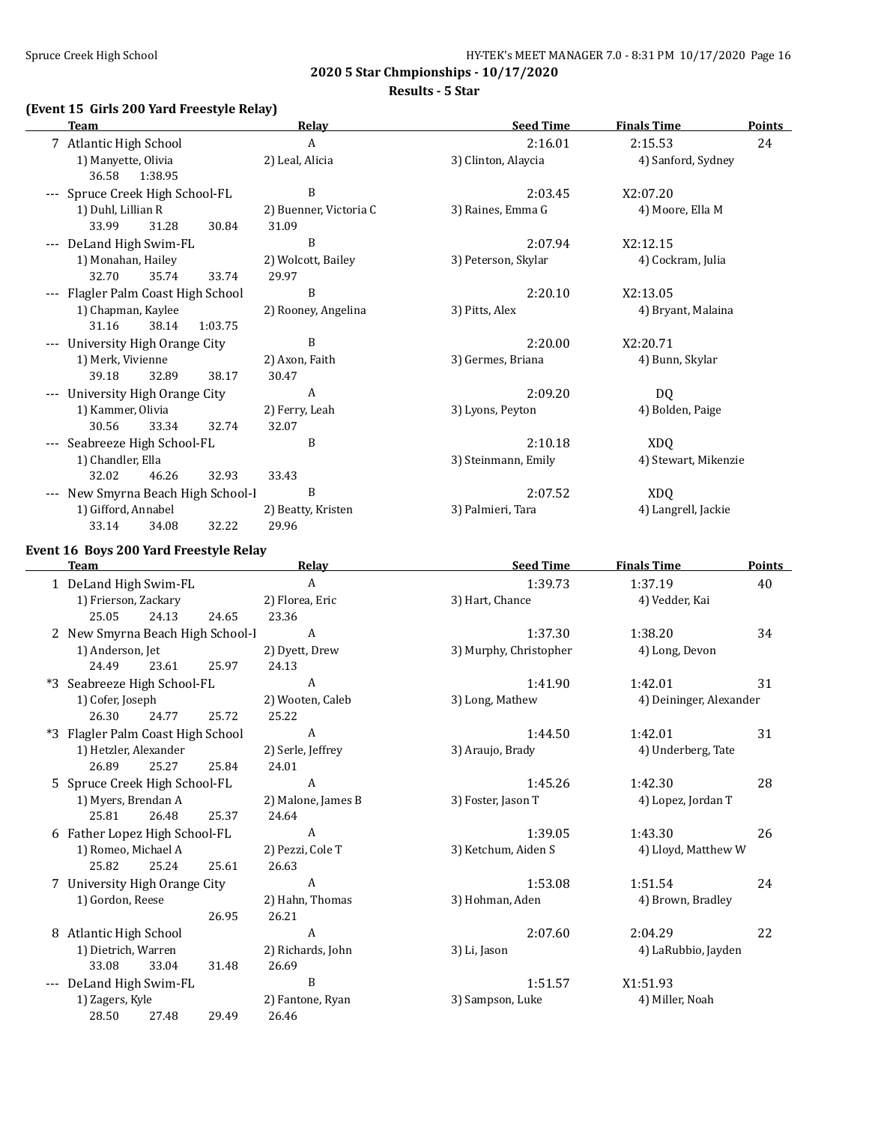**Results - 5 Star**

#### **(Event 15 Girls 200 Yard Freestyle Relay)**

33.08 33.04 31.48 26.69

28.50 27.48 29.49 26.46

| <b>Team</b>                                     | <b>Relay</b>                    | <b>Seed Time</b>       | <b>Finals Time</b>      | <b>Points</b> |
|-------------------------------------------------|---------------------------------|------------------------|-------------------------|---------------|
| 7 Atlantic High School                          | $\boldsymbol{A}$                | 2:16.01                | 2:15.53                 | 24            |
| 1) Manyette, Olivia<br>36.58<br>1:38.95         | 2) Leal, Alicia                 | 3) Clinton, Alaycia    | 4) Sanford, Sydney      |               |
| --- Spruce Creek High School-FL                 | $\, {\bf B}$                    | 2:03.45                | X2:07.20                |               |
| 1) Duhl, Lillian R<br>33.99<br>31.28<br>30.84   | 2) Buenner, Victoria C<br>31.09 | 3) Raines, Emma G      | 4) Moore, Ella M        |               |
| --- DeLand High Swim-FL                         | $\, {\bf B}$                    | 2:07.94                | X2:12.15                |               |
| 1) Monahan, Hailey                              | 2) Wolcott, Bailey              | 3) Peterson, Skylar    | 4) Cockram, Julia       |               |
| 32.70<br>35.74<br>33.74                         | 29.97                           |                        |                         |               |
| --- Flagler Palm Coast High School              | B                               | 2:20.10                | X2:13.05                |               |
| 1) Chapman, Kaylee<br>31.16<br>38.14<br>1:03.75 | 2) Rooney, Angelina             | 3) Pitts, Alex         | 4) Bryant, Malaina      |               |
| --- University High Orange City                 | $\, {\bf B}$                    | 2:20.00                | X2:20.71                |               |
| 1) Merk, Vivienne                               | 2) Axon, Faith                  | 3) Germes, Briana      | 4) Bunn, Skylar         |               |
| 39.18<br>32.89<br>38.17                         | 30.47                           |                        |                         |               |
| --- University High Orange City                 | A                               | 2:09.20                | DQ                      |               |
| 1) Kammer, Olivia                               | 2) Ferry, Leah                  | 3) Lyons, Peyton       | 4) Bolden, Paige        |               |
| 30.56<br>33.34<br>32.74                         | 32.07                           |                        |                         |               |
| --- Seabreeze High School-FL                    | B                               | 2:10.18                | <b>XDQ</b>              |               |
| 1) Chandler, Ella                               |                                 | 3) Steinmann, Emily    | 4) Stewart, Mikenzie    |               |
| 32.02<br>46.26<br>32.93                         | 33.43                           |                        |                         |               |
| --- New Smyrna Beach High School-I              | B                               | 2:07.52                | <b>XDQ</b>              |               |
| 1) Gifford, Annabel<br>33.14<br>32.22<br>34.08  | 2) Beatty, Kristen<br>29.96     | 3) Palmieri, Tara      | 4) Langrell, Jackie     |               |
| Event 16 Boys 200 Yard Freestyle Relay          |                                 |                        |                         |               |
| <b>Team</b>                                     | <b>Relay</b>                    | <b>Seed Time</b>       | <b>Finals Time</b>      | <b>Points</b> |
| 1 DeLand High Swim-FL                           | $\boldsymbol{A}$                | 1:39.73                | 1:37.19                 | 40            |
| 1) Frierson, Zackary                            | 2) Florea, Eric                 | 3) Hart, Chance        | 4) Vedder, Kai          |               |
| 25.05<br>24.13<br>24.65                         | 23.36                           |                        |                         |               |
| 2 New Smyrna Beach High School-l                | $\boldsymbol{A}$                | 1:37.30                | 1:38.20                 | 34            |
| 1) Anderson, Jet                                | 2) Dyett, Drew                  | 3) Murphy, Christopher | 4) Long, Devon          |               |
| 24.49<br>23.61<br>25.97                         | 24.13                           |                        |                         |               |
| *3 Seabreeze High School-FL                     | A                               | 1:41.90                | 1:42.01                 | 31            |
| 1) Cofer, Joseph                                | 2) Wooten, Caleb                | 3) Long, Mathew        | 4) Deininger, Alexander |               |
| 26.30<br>24.77<br>25.72                         | 25.22                           |                        |                         |               |
| *3 Flagler Palm Coast High School               | A                               | 1:44.50                | 1:42.01                 | 31            |
| 1) Hetzler, Alexander                           | 2) Serle, Jeffrey               | 3) Araujo, Brady       | 4) Underberg, Tate      |               |
| 26.89<br>25.27<br>25.84                         | 24.01                           |                        |                         |               |
| 5 Spruce Creek High School-FL                   | A                               | 1:45.26                | 1:42.30                 | 28            |
| 1) Myers, Brendan A                             | 2) Malone, James B              | 3) Foster, Jason T     | 4) Lopez, Jordan T      |               |
| 25.81<br>26.48<br>25.37                         | 24.64                           |                        |                         |               |
| 6 Father Lopez High School-FL                   | $\boldsymbol{A}$                | 1:39.05                | 1:43.30                 | 26            |
| 1) Romeo, Michael A                             | 2) Pezzi, Cole T                | 3) Ketchum, Aiden S    | 4) Lloyd, Matthew W     |               |
| 25.82<br>25.24<br>25.61                         | 26.63                           |                        |                         |               |
| 7 University High Orange City                   | $\boldsymbol{A}$                | 1:53.08                | 1:51.54                 | 24            |
| 1) Gordon, Reese                                | 2) Hahn, Thomas                 | 3) Hohman, Aden        | 4) Brown, Bradley       |               |
| 26.95                                           | 26.21                           |                        |                         |               |
| 8 Atlantic High School                          | $\boldsymbol{A}$                | 2:07.60                | 2:04.29                 | 22            |
| 1) Dietrich, Warren                             | 2) Richards, John               | 3) Li, Jason           | 4) LaRubbio, Jayden     |               |

--- DeLand High Swim-FL B B 1:51.57 X1:51.93 1) Zagers, Kyle 2) Fantone, Ryan 3) Sampson, Luke 4) Miller, Noah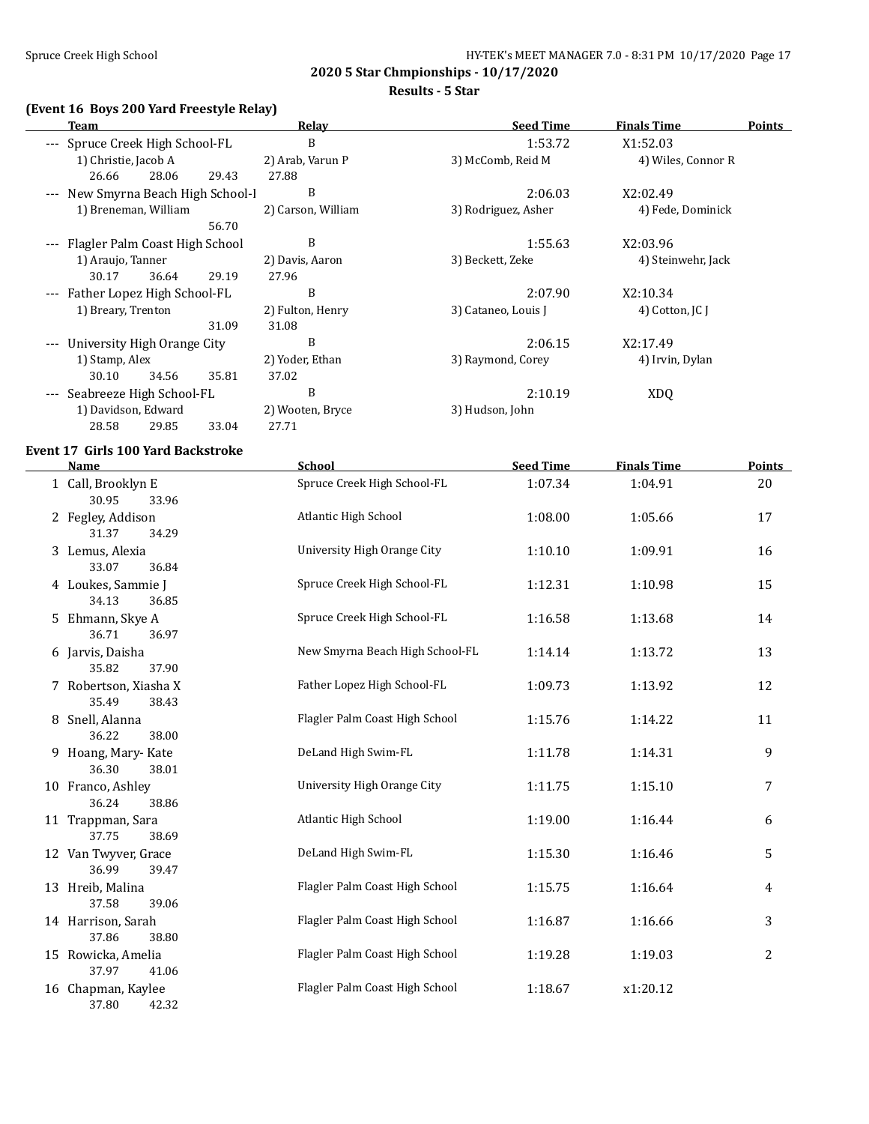#### **Results - 5 Star**

# **(Event 16 Boys 200 Yard Freestyle Relay)**

|          | Team                            |       |       | Relay              | <b>Seed Time</b>    | <b>Finals Time</b> | Points |
|----------|---------------------------------|-------|-------|--------------------|---------------------|--------------------|--------|
|          | --- Spruce Creek High School-FL |       |       | B                  | 1:53.72             | X1:52.03           |        |
|          | 1) Christie, Jacob A            |       |       | 2) Arab, Varun P   | 3) McComb, Reid M   | 4) Wiles, Connor R |        |
|          | 26.66                           | 28.06 | 29.43 | 27.88              |                     |                    |        |
|          | New Smyrna Beach High School-I  |       |       | B                  | 2:06.03             | X2:02.49           |        |
|          | 1) Breneman, William            |       |       | 2) Carson, William | 3) Rodriguez, Asher | 4) Fede, Dominick  |        |
|          |                                 |       | 56.70 |                    |                     |                    |        |
| $\cdots$ | Flagler Palm Coast High School  |       |       | B                  | 1:55.63             | X2:03.96           |        |
|          | 1) Araujo, Tanner               |       |       | 2) Davis, Aaron    | 3) Beckett, Zeke    | 4) Steinwehr, Jack |        |
|          | 30.17                           | 36.64 | 29.19 | 27.96              |                     |                    |        |
|          | --- Father Lopez High School-FL |       |       | B                  | 2:07.90             | X2:10.34           |        |
|          | 1) Breary, Trenton              |       |       | 2) Fulton, Henry   | 3) Cataneo, Louis J | 4) Cotton, JC J    |        |
|          |                                 |       | 31.09 | 31.08              |                     |                    |        |
| $---$    | University High Orange City     |       |       | B                  | 2:06.15             | X2:17.49           |        |
|          | 1) Stamp, Alex                  |       |       | 2) Yoder, Ethan    | 3) Raymond, Corey   | 4) Irvin, Dylan    |        |
|          | 30.10                           | 34.56 | 35.81 | 37.02              |                     |                    |        |
|          | Seabreeze High School-FL        |       |       | B                  | 2:10.19             | XDQ                |        |
|          | 1) Davidson, Edward             |       |       | 2) Wooten, Bryce   | 3) Hudson, John     |                    |        |
|          | 28.58                           | 29.85 | 33.04 | 27.71              |                     |                    |        |

# **Event 17 Girls 100 Yard Backstroke**

| Name                                    | <b>School</b>                   | <b>Seed Time</b> | <b>Finals Time</b> | Points         |
|-----------------------------------------|---------------------------------|------------------|--------------------|----------------|
| 1 Call, Brooklyn E<br>30.95<br>33.96    | Spruce Creek High School-FL     | 1:07.34          | 1:04.91            | 20             |
| 2 Fegley, Addison<br>31.37<br>34.29     | Atlantic High School            | 1:08.00          | 1:05.66            | 17             |
| 3 Lemus, Alexia<br>33.07<br>36.84       | University High Orange City     | 1:10.10          | 1:09.91            | 16             |
| 4 Loukes, Sammie J<br>34.13<br>36.85    | Spruce Creek High School-FL     | 1:12.31          | 1:10.98            | 15             |
| 5 Ehmann, Skye A<br>36.71<br>36.97      | Spruce Creek High School-FL     | 1:16.58          | 1:13.68            | 14             |
| 6 Jarvis, Daisha<br>35.82<br>37.90      | New Smyrna Beach High School-FL | 1:14.14          | 1:13.72            | 13             |
| 7 Robertson, Xiasha X<br>35.49<br>38.43 | Father Lopez High School-FL     | 1:09.73          | 1:13.92            | 12             |
| 8 Snell, Alanna<br>36.22<br>38.00       | Flagler Palm Coast High School  | 1:15.76          | 1:14.22            | 11             |
| 9 Hoang, Mary-Kate<br>36.30<br>38.01    | DeLand High Swim-FL             | 1:11.78          | 1:14.31            | 9              |
| 10 Franco, Ashley<br>36.24<br>38.86     | University High Orange City     | 1:11.75          | 1:15.10            | 7              |
| 11 Trappman, Sara<br>37.75<br>38.69     | Atlantic High School            | 1:19.00          | 1:16.44            | 6              |
| 12 Van Twyver, Grace<br>36.99<br>39.47  | DeLand High Swim-FL             | 1:15.30          | 1:16.46            | 5              |
| 13 Hreib, Malina<br>37.58<br>39.06      | Flagler Palm Coast High School  | 1:15.75          | 1:16.64            | 4              |
| 14 Harrison, Sarah<br>37.86<br>38.80    | Flagler Palm Coast High School  | 1:16.87          | 1:16.66            | 3              |
| 15 Rowicka, Amelia<br>37.97<br>41.06    | Flagler Palm Coast High School  | 1:19.28          | 1:19.03            | $\overline{c}$ |
| 16 Chapman, Kaylee<br>37.80<br>42.32    | Flagler Palm Coast High School  | 1:18.67          | x1:20.12           |                |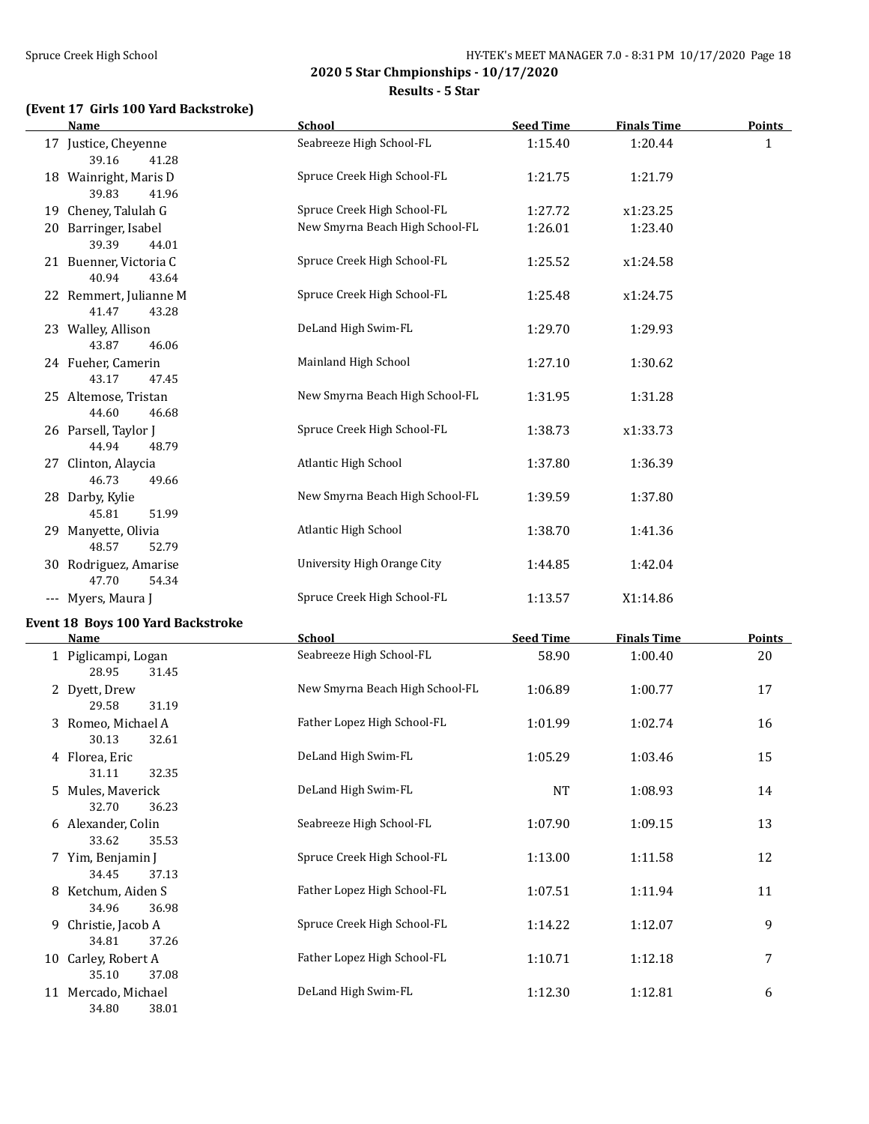**Results - 5 Star**

# **(Event 17 Girls 100 Yard Backstroke)**

| <b>Name</b>                              | School                          | <b>Seed Time</b> | <b>Finals Time</b> | <b>Points</b> |
|------------------------------------------|---------------------------------|------------------|--------------------|---------------|
| 17 Justice, Cheyenne<br>39.16<br>41.28   | Seabreeze High School-FL        | 1:15.40          | 1:20.44            | $\mathbf{1}$  |
| 18 Wainright, Maris D<br>39.83<br>41.96  | Spruce Creek High School-FL     | 1:21.75          | 1:21.79            |               |
| 19 Cheney, Talulah G                     | Spruce Creek High School-FL     | 1:27.72          | x1:23.25           |               |
| 20 Barringer, Isabel<br>39.39<br>44.01   | New Smyrna Beach High School-FL | 1:26.01          | 1:23.40            |               |
| 21 Buenner, Victoria C<br>40.94<br>43.64 | Spruce Creek High School-FL     | 1:25.52          | x1:24.58           |               |
| 22 Remmert, Julianne M<br>41.47<br>43.28 | Spruce Creek High School-FL     | 1:25.48          | x1:24.75           |               |
| 23 Walley, Allison<br>43.87<br>46.06     | DeLand High Swim-FL             | 1:29.70          | 1:29.93            |               |
| 24 Fueher, Camerin<br>43.17<br>47.45     | Mainland High School            | 1:27.10          | 1:30.62            |               |
| 25 Altemose, Tristan<br>44.60<br>46.68   | New Smyrna Beach High School-FL | 1:31.95          | 1:31.28            |               |
| 26 Parsell, Taylor J<br>44.94<br>48.79   | Spruce Creek High School-FL     | 1:38.73          | x1:33.73           |               |
| 27 Clinton, Alaycia<br>46.73<br>49.66    | Atlantic High School            | 1:37.80          | 1:36.39            |               |
| 28 Darby, Kylie<br>45.81<br>51.99        | New Smyrna Beach High School-FL | 1:39.59          | 1:37.80            |               |
| 29 Manyette, Olivia<br>48.57<br>52.79    | Atlantic High School            | 1:38.70          | 1:41.36            |               |
| 30 Rodriguez, Amarise<br>47.70<br>54.34  | University High Orange City     | 1:44.85          | 1:42.04            |               |
| --- Myers, Maura J                       | Spruce Creek High School-FL     | 1:13.57          | X1:14.86           |               |
| Event 18 Boys 100 Yard Backstroke        |                                 |                  |                    |               |
| <b>Name</b>                              | <b>School</b>                   | <b>Seed Time</b> | <b>Finals Time</b> | <b>Points</b> |
| 1 Piglicampi, Logan<br>28.95<br>31.45    | Seabreeze High School-FL        | 58.90            | 1:00.40            | 20            |
| 2 Dyett, Drew<br>29.58<br>31.19          | New Smyrna Beach High School-FL | 1:06.89          | 1:00.77            | 17            |
| 3 Romeo, Michael A<br>30.13<br>32.61     | Father Lopez High School-FL     | 1:01.99          | 1:02.74            | 16            |
| 4 Florea, Eric<br>32.35<br>31.11         | DeLand High Swim-FL             | 1:05.29          | 1:03.46            | 15            |
| 5 Mules, Maverick<br>32.70<br>36.23      | DeLand High Swim-FL             | <b>NT</b>        | 1:08.93            | 14            |
| 6 Alexander, Colin<br>33.62<br>35.53     | Seabreeze High School-FL        | 1:07.90          | 1:09.15            | 13            |
| 7 Yim, Benjamin J<br>34.45<br>37.13      | Spruce Creek High School-FL     | 1:13.00          | 1:11.58            | 12            |
| 8 Ketchum, Aiden S<br>34.96<br>36.98     | Father Lopez High School-FL     | 1:07.51          | 1:11.94            | 11            |
| 9 Christie, Jacob A<br>34.81<br>37.26    | Spruce Creek High School-FL     | 1:14.22          | 1:12.07            | 9             |
| 10 Carley, Robert A<br>35.10<br>37.08    | Father Lopez High School-FL     | 1:10.71          | 1:12.18            | 7             |
| 11 Mercado, Michael<br>34.80<br>38.01    | DeLand High Swim-FL             | 1:12.30          | 1:12.81            | 6             |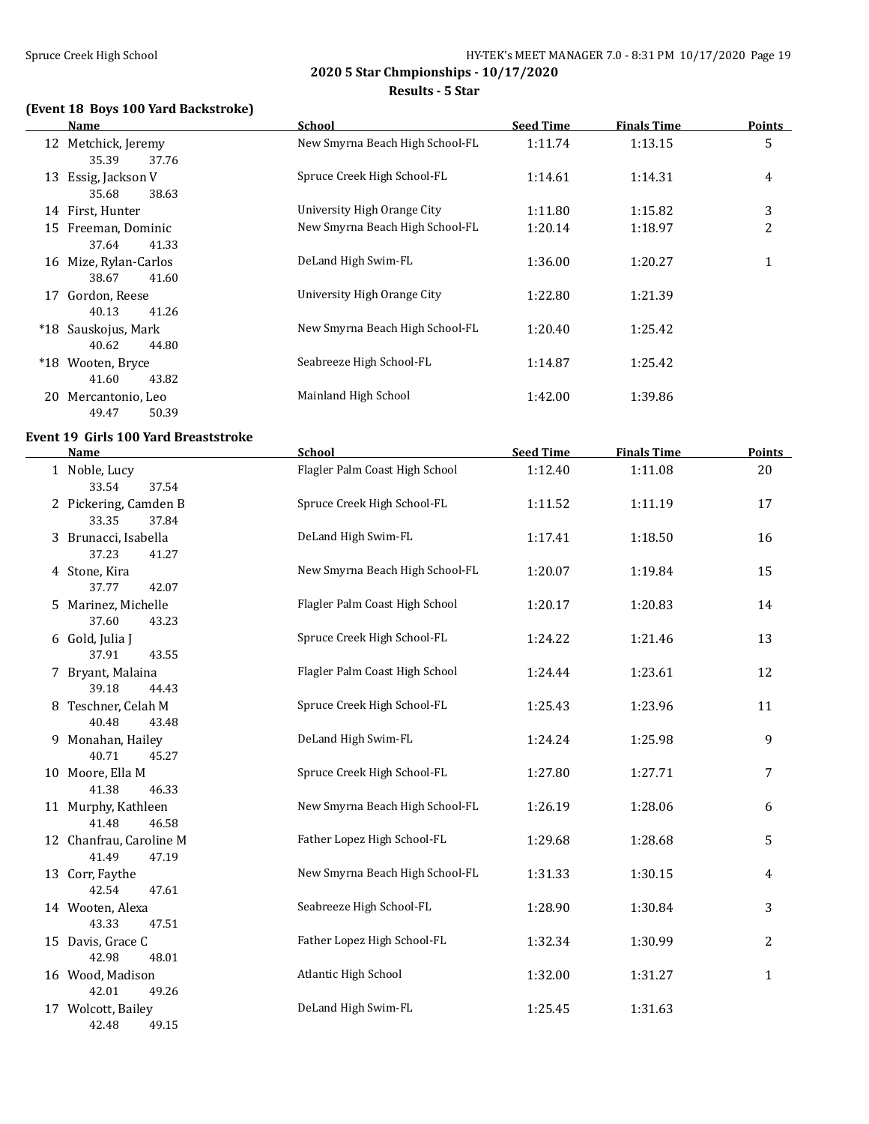#### Spruce Creek High School Spruce Creek High School Spruce Creek High School Spruce Creek High School Spruce Creek High School Spruce Creek High School Spruce Creek High School Spruce Creek High School Spruce Creek High Scho

**2020 5 Star Chmpionships - 10/17/2020**

**Results - 5 Star**

## **(Event 18 Boys 100 Yard Backstroke)**

|     | Name                                  | School                          | <b>Seed Time</b> | <b>Finals Time</b> | <b>Points</b> |
|-----|---------------------------------------|---------------------------------|------------------|--------------------|---------------|
|     | 12 Metchick, Jeremy<br>35.39<br>37.76 | New Smyrna Beach High School-FL | 1:11.74          | 1:13.15            | 5             |
| 13  | Essig, Jackson V<br>38.63<br>35.68    | Spruce Creek High School-FL     | 1:14.61          | 1:14.31            | 4             |
|     | 14 First, Hunter                      | University High Orange City     | 1:11.80          | 1:15.82            | 3             |
| 15  | Freeman, Dominic<br>41.33<br>37.64    | New Smyrna Beach High School-FL | 1:20.14          | 1:18.97            | 2             |
| 16  | Mize, Rylan-Carlos<br>41.60<br>38.67  | DeLand High Swim-FL             | 1:36.00          | 1:20.27            | 1             |
| 17  | Gordon, Reese<br>40.13<br>41.26       | University High Orange City     | 1:22.80          | 1:21.39            |               |
| *18 | Sauskojus, Mark<br>44.80<br>40.62     | New Smyrna Beach High School-FL | 1:20.40          | 1:25.42            |               |
|     | *18 Wooten, Bryce<br>43.82<br>41.60   | Seabreeze High School-FL        | 1:14.87          | 1:25.42            |               |
| 20  | Mercantonio, Leo<br>50.39<br>49.47    | Mainland High School            | 1:42.00          | 1:39.86            |               |

#### **Event 19 Girls 100 Yard Breaststroke**

| <b>Name</b>                               | School                          | <b>Seed Time</b> | <b>Finals Time</b> | <b>Points</b> |
|-------------------------------------------|---------------------------------|------------------|--------------------|---------------|
| 1 Noble, Lucy<br>33.54<br>37.54           | Flagler Palm Coast High School  | 1:12.40          | 1:11.08            | 20            |
| 2 Pickering, Camden B<br>33.35<br>37.84   | Spruce Creek High School-FL     | 1:11.52          | 1:11.19            | 17            |
| 3 Brunacci, Isabella<br>37.23<br>41.27    | DeLand High Swim-FL             | 1:17.41          | 1:18.50            | 16            |
| 4 Stone, Kira<br>37.77<br>42.07           | New Smyrna Beach High School-FL | 1:20.07          | 1:19.84            | 15            |
| 5 Marinez, Michelle<br>37.60<br>43.23     | Flagler Palm Coast High School  | 1:20.17          | 1:20.83            | 14            |
| 6 Gold, Julia J<br>37.91<br>43.55         | Spruce Creek High School-FL     | 1:24.22          | 1:21.46            | 13            |
| 7 Bryant, Malaina<br>39.18<br>44.43       | Flagler Palm Coast High School  | 1:24.44          | 1:23.61            | 12            |
| 8 Teschner, Celah M<br>40.48<br>43.48     | Spruce Creek High School-FL     | 1:25.43          | 1:23.96            | 11            |
| 9 Monahan, Hailey<br>40.71<br>45.27       | DeLand High Swim-FL             | 1:24.24          | 1:25.98            | 9             |
| 10 Moore, Ella M<br>41.38<br>46.33        | Spruce Creek High School-FL     | 1:27.80          | 1:27.71            | 7             |
| 11 Murphy, Kathleen<br>41.48<br>46.58     | New Smyrna Beach High School-FL | 1:26.19          | 1:28.06            | 6             |
| 12 Chanfrau, Caroline M<br>41.49<br>47.19 | Father Lopez High School-FL     | 1:29.68          | 1:28.68            | 5             |
| 13 Corr, Faythe<br>42.54<br>47.61         | New Smyrna Beach High School-FL | 1:31.33          | 1:30.15            | 4             |
| 14 Wooten, Alexa<br>43.33<br>47.51        | Seabreeze High School-FL        | 1:28.90          | 1:30.84            | 3             |
| 15 Davis, Grace C<br>42.98<br>48.01       | Father Lopez High School-FL     | 1:32.34          | 1:30.99            | 2             |
| 16 Wood, Madison<br>42.01<br>49.26        | Atlantic High School            | 1:32.00          | 1:31.27            | $\mathbf{1}$  |
| 17 Wolcott, Bailey<br>42.48<br>49.15      | DeLand High Swim-FL             | 1:25.45          | 1:31.63            |               |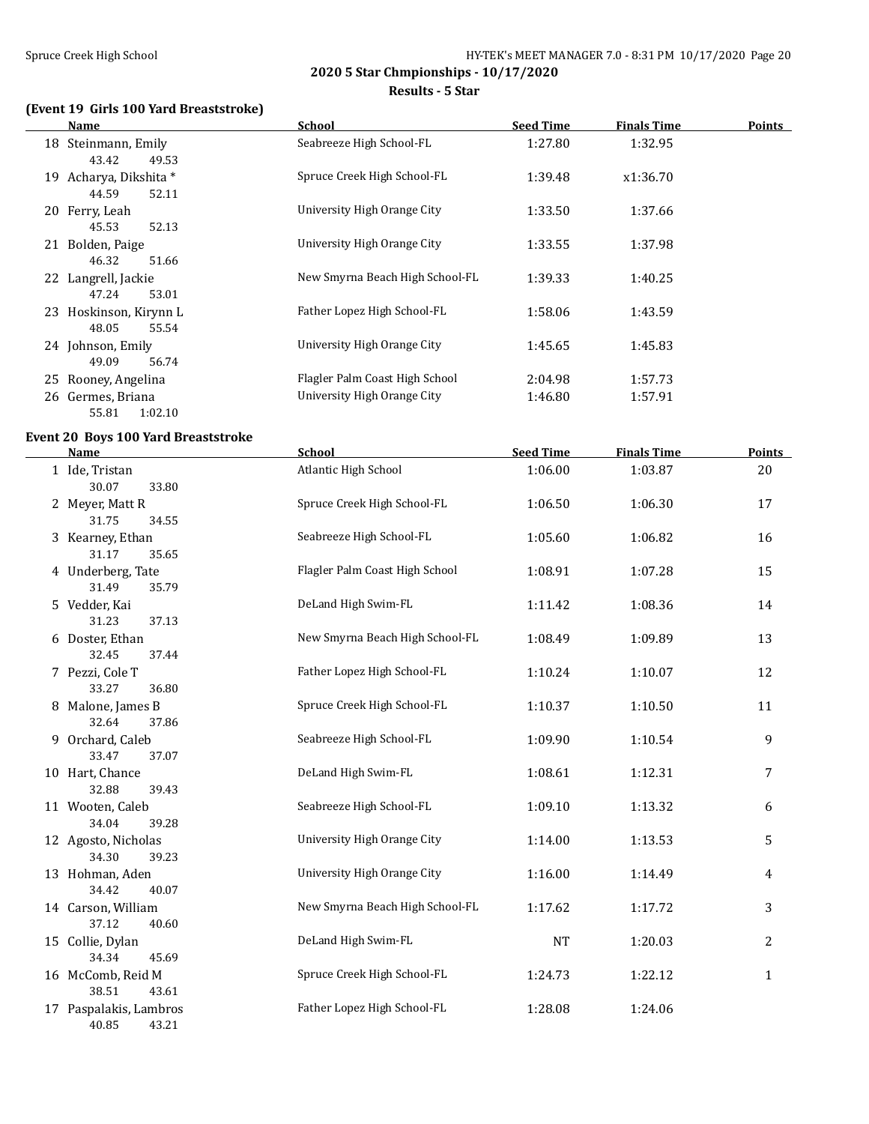#### Spruce Creek High School Spruce Creek High School and HY-TEK's MEET MANAGER 7.0 - 8:31 PM 10/17/2020 Page 20

**2020 5 Star Chmpionships - 10/17/2020**

**Results - 5 Star**

## **(Event 19 Girls 100 Yard Breaststroke)**

|    | Name                   | <b>School</b>                   | <b>Seed Time</b> | <b>Finals Time</b> | <b>Points</b> |
|----|------------------------|---------------------------------|------------------|--------------------|---------------|
|    | 18 Steinmann, Emily    | Seabreeze High School-FL        | 1:27.80          | 1:32.95            |               |
|    | 43.42<br>49.53         |                                 |                  |                    |               |
| 19 | Acharya, Dikshita *    | Spruce Creek High School-FL     | 1:39.48          | x1:36.70           |               |
|    | 52.11<br>44.59         |                                 |                  |                    |               |
|    | 20 Ferry, Leah         | University High Orange City     | 1:33.50          | 1:37.66            |               |
|    | 52.13<br>45.53         |                                 |                  |                    |               |
|    | 21 Bolden, Paige       | University High Orange City     | 1:33.55          | 1:37.98            |               |
|    | 51.66<br>46.32         |                                 |                  |                    |               |
|    | 22 Langrell, Jackie    | New Smyrna Beach High School-FL | 1:39.33          | 1:40.25            |               |
|    | 53.01<br>47.24         |                                 |                  |                    |               |
|    | 23 Hoskinson, Kirynn L | Father Lopez High School-FL     | 1:58.06          | 1:43.59            |               |
|    | 48.05<br>55.54         |                                 |                  |                    |               |
|    | 24 Johnson, Emily      | University High Orange City     | 1:45.65          | 1:45.83            |               |
|    | 49.09<br>56.74         |                                 |                  |                    |               |
|    | 25 Rooney, Angelina    | Flagler Palm Coast High School  | 2:04.98          | 1:57.73            |               |
|    | 26 Germes, Briana      | University High Orange City     | 1:46.80          | 1:57.91            |               |
|    | 1:02.10<br>55.81       |                                 |                  |                    |               |

## **Event 20 Boys 100 Yard Breaststroke**

 $\overline{a}$ 

| <b>Name</b>                              | <b>School</b>                   | <b>Seed Time</b> | <b>Finals Time</b> | <b>Points</b> |
|------------------------------------------|---------------------------------|------------------|--------------------|---------------|
| 1 Ide, Tristan<br>30.07<br>33.80         | Atlantic High School            | 1:06.00          | 1:03.87            | 20            |
| 2 Meyer, Matt R<br>31.75<br>34.55        | Spruce Creek High School-FL     | 1:06.50          | 1:06.30            | 17            |
| 3 Kearney, Ethan<br>31.17<br>35.65       | Seabreeze High School-FL        | 1:05.60          | 1:06.82            | 16            |
| 4 Underberg, Tate<br>31.49<br>35.79      | Flagler Palm Coast High School  | 1:08.91          | 1:07.28            | 15            |
| 5 Vedder, Kai<br>37.13<br>31.23          | DeLand High Swim-FL             | 1:11.42          | 1:08.36            | 14            |
| 6 Doster, Ethan<br>32.45<br>37.44        | New Smyrna Beach High School-FL | 1:08.49          | 1:09.89            | 13            |
| 7 Pezzi, Cole T<br>33.27<br>36.80        | Father Lopez High School-FL     | 1:10.24          | 1:10.07            | 12            |
| 8 Malone, James B<br>32.64<br>37.86      | Spruce Creek High School-FL     | 1:10.37          | 1:10.50            | 11            |
| 9 Orchard, Caleb<br>33.47<br>37.07       | Seabreeze High School-FL        | 1:09.90          | 1:10.54            | 9             |
| 10 Hart, Chance<br>32.88<br>39.43        | DeLand High Swim-FL             | 1:08.61          | 1:12.31            | 7             |
| 11 Wooten, Caleb<br>34.04<br>39.28       | Seabreeze High School-FL        | 1:09.10          | 1:13.32            | 6             |
| 12 Agosto, Nicholas<br>34.30<br>39.23    | University High Orange City     | 1:14.00          | 1:13.53            | 5             |
| 13 Hohman, Aden<br>34.42<br>40.07        | University High Orange City     | 1:16.00          | 1:14.49            | 4             |
| 14 Carson, William<br>37.12<br>40.60     | New Smyrna Beach High School-FL | 1:17.62          | 1:17.72            | 3             |
| 15 Collie, Dylan<br>34.34<br>45.69       | DeLand High Swim-FL             | <b>NT</b>        | 1:20.03            | 2             |
| 16 McComb, Reid M<br>38.51<br>43.61      | Spruce Creek High School-FL     | 1:24.73          | 1:22.12            | $\mathbf{1}$  |
| 17 Paspalakis, Lambros<br>40.85<br>43.21 | Father Lopez High School-FL     | 1:28.08          | 1:24.06            |               |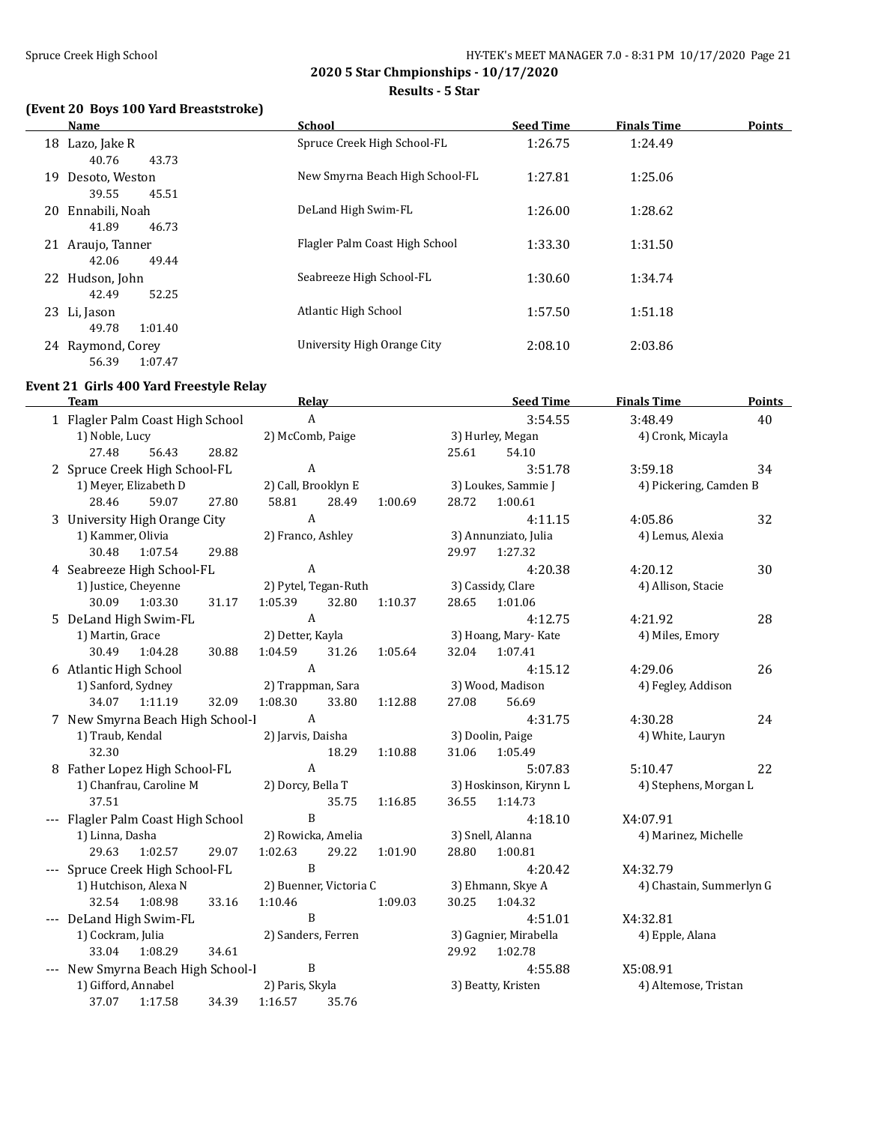**Results - 5 Star**

## **(Event 20 Boys 100 Yard Breaststroke)**

|    | Name              | <b>School</b>                   | <b>Seed Time</b> | <b>Points</b><br><b>Finals Time</b> |
|----|-------------------|---------------------------------|------------------|-------------------------------------|
|    | 18 Lazo, Jake R   | Spruce Creek High School-FL     | 1:26.75          | 1:24.49                             |
|    | 40.76<br>43.73    |                                 |                  |                                     |
| 19 | Desoto, Weston    | New Smyrna Beach High School-FL | 1:27.81          | 1:25.06                             |
|    | 39.55<br>45.51    |                                 |                  |                                     |
|    | 20 Ennabili, Noah | DeLand High Swim-FL             | 1:26.00          | 1:28.62                             |
|    | 41.89<br>46.73    |                                 |                  |                                     |
|    | 21 Araujo, Tanner | Flagler Palm Coast High School  | 1:33.30          | 1:31.50                             |
|    | 49.44<br>42.06    |                                 |                  |                                     |
|    | 22 Hudson, John   | Seabreeze High School-FL        | 1:30.60          | 1:34.74                             |
|    | 52.25<br>42.49    |                                 |                  |                                     |
|    | 23 Li, Jason      | Atlantic High School            | 1:57.50          | 1:51.18                             |
|    | 1:01.40<br>49.78  |                                 |                  |                                     |
|    | 24 Raymond, Corey | University High Orange City     | 2:08.10          | 2:03.86                             |
|    | 56.39<br>1:07.47  |                                 |                  |                                     |

# **Event 21 Girls 400 Yard Freestyle Relay**

| <b>Team</b>                         |       | Relay                         |                        |         |       | <b>Seed Time</b>       | <b>Finals Time</b>       | Points |
|-------------------------------------|-------|-------------------------------|------------------------|---------|-------|------------------------|--------------------------|--------|
| 1 Flagler Palm Coast High School    |       | $\boldsymbol{\mathrm{A}}$     |                        |         |       | 3:54.55                | 3:48.49                  | 40     |
| 1) Noble, Lucy                      |       | 2) McComb, Paige              |                        |         |       | 3) Hurley, Megan       | 4) Cronk, Micayla        |        |
| 27.48<br>56.43                      | 28.82 |                               |                        |         | 25.61 | 54.10                  |                          |        |
| 2 Spruce Creek High School-FL       |       | $\boldsymbol{\rm{A}}$         |                        |         |       | 3:51.78                | 3:59.18                  | 34     |
| 1) Meyer, Elizabeth D               |       | 2) Call, Brooklyn E           |                        |         |       | 3) Loukes, Sammie J    | 4) Pickering, Camden B   |        |
| 28.46<br>59.07                      | 27.80 | 58.81                         | 28.49                  | 1:00.69 | 28.72 | 1:00.61                |                          |        |
| 3 University High Orange City       |       | $\boldsymbol{A}$              |                        |         |       | 4:11.15                | 4:05.86                  | 32     |
| 1) Kammer, Olivia                   |       | 2) Franco, Ashley             |                        |         |       | 3) Annunziato, Julia   | 4) Lemus, Alexia         |        |
| 30.48<br>1:07.54                    | 29.88 |                               |                        |         | 29.97 | 1:27.32                |                          |        |
| 4 Seabreeze High School-FL          |       | $\boldsymbol{A}$              |                        |         |       | 4:20.38                | 4:20.12                  | 30     |
| 1) Justice, Cheyenne                |       |                               | 2) Pytel, Tegan-Ruth   |         |       | 3) Cassidy, Clare      | 4) Allison, Stacie       |        |
| 30.09<br>1:03.30                    | 31.17 | 1:05.39                       | 32.80                  | 1:10.37 | 28.65 | 1:01.06                |                          |        |
| 5 DeLand High Swim-FL               |       | $\boldsymbol{A}$              |                        |         |       | 4:12.75                | 4:21.92                  | 28     |
| 1) Martin, Grace                    |       | 2) Detter, Kayla              |                        |         |       | 3) Hoang, Mary-Kate    | 4) Miles, Emory          |        |
| 30.49<br>1:04.28                    | 30.88 | 1:04.59                       | 31.26                  | 1:05.64 | 32.04 | 1:07.41                |                          |        |
| 6 Atlantic High School              |       | $\boldsymbol{A}$              |                        |         |       | 4:15.12                | 4:29.06                  | 26     |
| 1) Sanford, Sydney                  |       | 2) Trappman, Sara             |                        |         |       | 3) Wood, Madison       | 4) Fegley, Addison       |        |
| 1:11.19<br>34.07                    | 32.09 | 1:08.30                       | 33.80                  | 1:12.88 | 27.08 | 56.69                  |                          |        |
| 7 New Smyrna Beach High School-I    |       | $\mathbf{A}$                  |                        |         |       | 4:31.75                | 4:30.28                  | 24     |
| 1) Traub, Kendal                    |       | 2) Jarvis, Daisha             |                        |         |       | 3) Doolin, Paige       | 4) White, Lauryn         |        |
| 32.30                               |       |                               | 18.29                  | 1:10.88 | 31.06 | 1:05.49                |                          |        |
| 8 Father Lopez High School-FL       |       | $\boldsymbol{A}$              |                        |         |       | 5:07.83                | 5:10.47                  | 22     |
| 1) Chanfrau, Caroline M             |       | 2) Dorcy, Bella T             |                        |         |       | 3) Hoskinson, Kirynn L | 4) Stephens, Morgan L    |        |
| 37.51                               |       | B                             | 35.75                  | 1:16.85 | 36.55 | 1:14.73                |                          |        |
| --- Flagler Palm Coast High School  |       |                               |                        |         |       | 4:18.10                | X4:07.91                 |        |
| 1) Linna, Dasha<br>29.63<br>1:02.57 | 29.07 | 2) Rowicka, Amelia<br>1:02.63 | 29.22                  | 1:01.90 | 28.80 | 3) Snell, Alanna       | 4) Marinez, Michelle     |        |
| --- Spruce Creek High School-FL     |       | B                             |                        |         |       | 1:00.81<br>4:20.42     | X4:32.79                 |        |
| 1) Hutchison, Alexa N               |       |                               | 2) Buenner, Victoria C |         |       | 3) Ehmann, Skye A      | 4) Chastain, Summerlyn G |        |
| 1:08.98<br>32.54                    | 33.16 | 1:10.46                       |                        | 1:09.03 | 30.25 | 1:04.32                |                          |        |
| --- DeLand High Swim-FL             |       | B                             |                        |         |       | 4:51.01                | X4:32.81                 |        |
| 1) Cockram, Julia                   |       | 2) Sanders, Ferren            |                        |         |       | 3) Gagnier, Mirabella  | 4) Epple, Alana          |        |
| 33.04<br>1:08.29                    | 34.61 |                               |                        |         | 29.92 | 1:02.78                |                          |        |
| --- New Smyrna Beach High School-I  |       | B                             |                        |         |       | 4:55.88                | X5:08.91                 |        |
| 1) Gifford, Annabel                 |       | 2) Paris, Skyla               |                        |         |       | 3) Beatty, Kristen     | 4) Altemose, Tristan     |        |
| 37.07<br>1:17.58                    | 34.39 | 1:16.57                       | 35.76                  |         |       |                        |                          |        |
|                                     |       |                               |                        |         |       |                        |                          |        |